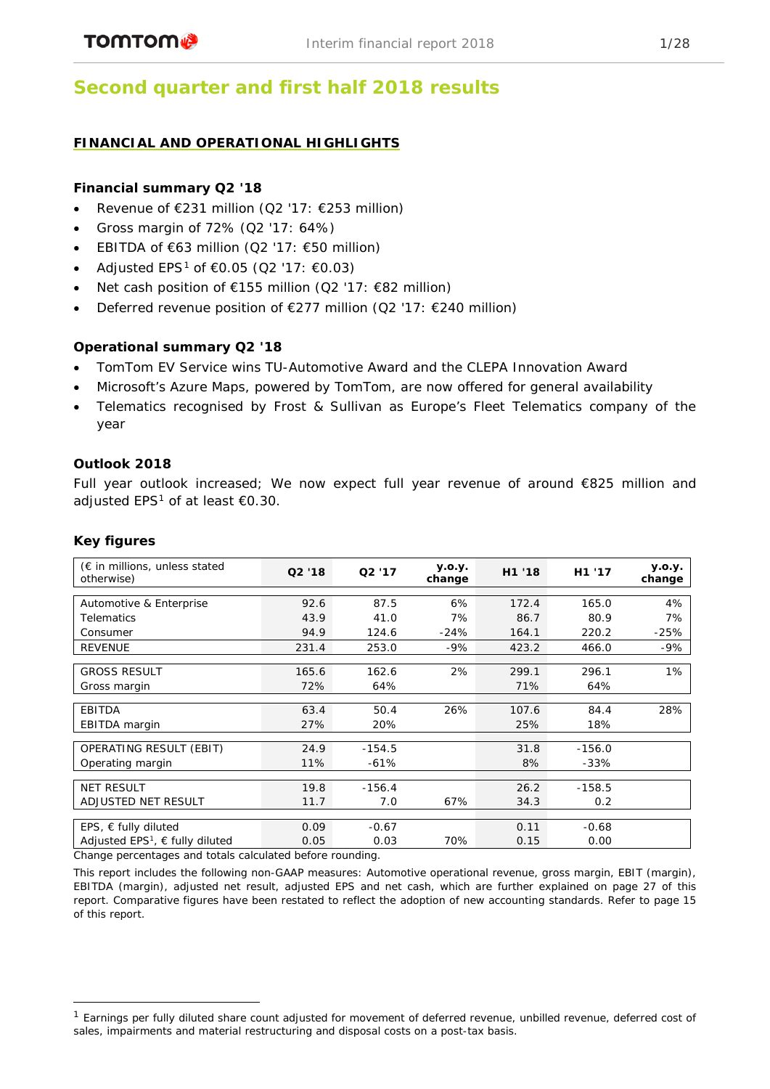# **Second quarter and first half 2018 results**

# **FINANCIAL AND OPERATIONAL HIGHLIGHTS**

# **Financial summary Q2 '18**

- Revenue of  $E$ 231 million (Q2 '17:  $E$ 253 million)
- Gross margin of 72% (Q2 '17: 64%)
- EBITDA of  $\epsilon$ 63 million (Q2 '17:  $\epsilon$ 50 million)
- Adjusted EPS<sup>[1](#page-0-0)</sup> of €0.05 (Q2 '17: €0.03)
- Net cash position of €155 million (Q2 '17: €82 million)
- Deferred revenue position of €277 million (Q2 '17: €240 million)

# **Operational summary Q2 '18**

- TomTom EV Service wins TU-Automotive Award and the CLEPA Innovation Award
- Microsoft's Azure Maps, powered by TomTom, are now offered for general availability
- Telematics recognised by Frost & Sullivan as Europe's Fleet Telematics company of the year

# **Outlook 2018**

Full year outlook increased; We now expect full year revenue of around €825 million and adjusted EPS<sup>1</sup> of at least  $€0.30$ .

## **Key figures**

| $(\epsilon$ in millions, unless stated<br>otherwise) | Q2'18 | Q <sub>2</sub> '17 | y.o.y.<br>change | H1 '18 | H1 '17   | y.o.y.<br>change |
|------------------------------------------------------|-------|--------------------|------------------|--------|----------|------------------|
|                                                      |       |                    |                  |        |          |                  |
| Automotive & Enterprise                              | 92.6  | 87.5               | 6%               | 172.4  | 165.0    | 4%               |
| <b>Telematics</b>                                    | 43.9  | 41.0               | 7%               | 86.7   | 80.9     | 7%               |
| Consumer                                             | 94.9  | 124.6              | $-24%$           | 164.1  | 220.2    | $-25%$           |
| <b>REVENUE</b>                                       | 231.4 | 253.0              | $-9%$            | 423.2  | 466.0    | $-9%$            |
|                                                      |       |                    |                  |        |          |                  |
| <b>GROSS RESULT</b>                                  | 165.6 | 162.6              | 2%               | 299.1  | 296.1    | 1%               |
| Gross margin                                         | 72%   | 64%                |                  | 71%    | 64%      |                  |
|                                                      |       |                    |                  |        |          |                  |
| EBITDA                                               | 63.4  | 50.4               | 26%              | 107.6  | 84.4     | 28%              |
| EBITDA margin                                        | 27%   | 20%                |                  | 25%    | 18%      |                  |
|                                                      |       |                    |                  |        |          |                  |
| OPERATING RESULT (EBIT)                              | 24.9  | $-154.5$           |                  | 31.8   | $-156.0$ |                  |
| Operating margin                                     | 11%   | $-61%$             |                  | 8%     | $-33%$   |                  |
|                                                      |       |                    |                  |        |          |                  |
| <b>NET RESULT</b>                                    | 19.8  | $-156.4$           |                  | 26.2   | $-158.5$ |                  |
| ADJUSTED NET RESULT                                  | 11.7  | 7.0                | 67%              | 34.3   | 0.2      |                  |
|                                                      |       |                    |                  |        |          |                  |
| EPS, $\epsilon$ fully diluted                        | 0.09  | $-0.67$            |                  | 0.11   | $-0.68$  |                  |
| Adjusted $EPS1$ , $\in$ fully diluted                | 0.05  | 0.03               | 70%              | 0.15   | 0.00     |                  |

*Change percentages and totals calculated before rounding.*

This report includes the following non-GAAP measures: Automotive operational revenue, gross margin, EBIT (margin), EBITDA (margin), adjusted net result, adjusted EPS and net cash, which are further explained on page 27 of this report. Comparative figures have been restated to reflect the adoption of new accounting standards. Refer to page 15 of this report.

<span id="page-0-0"></span><sup>&</sup>lt;sup>1</sup> Earnings per fully diluted share count adjusted for movement of deferred revenue, unbilled revenue, deferred cost of sales, impairments and material restructuring and disposal costs on a post-tax basis.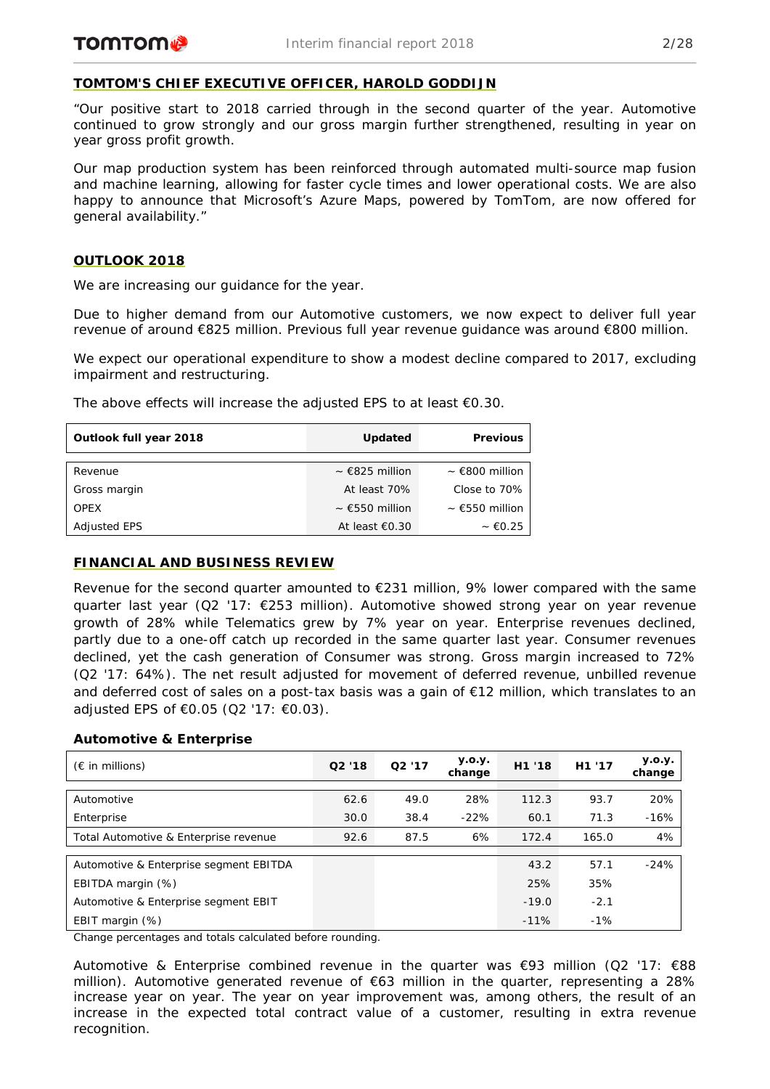# **TOMTOM'S CHIEF EXECUTIVE OFFICER, HAROLD GODDIJN**

*"Our positive start to 2018 carried through in the second quarter of the year. Automotive continued to grow strongly and our gross margin further strengthened, resulting in year on year gross profit growth.*

*Our map production system has been reinforced through automated multi-source map fusion and machine learning, allowing for faster cycle times and lower operational costs. We are also happy to announce that Microsoft's Azure Maps, powered by TomTom, are now offered for general availability."*

# **OUTLOOK 2018**

We are increasing our guidance for the year.

Due to higher demand from our Automotive customers, we now expect to deliver full year revenue of around €825 million. Previous full year revenue guidance was around €800 million.

We expect our operational expenditure to show a modest decline compared to 2017, excluding impairment and restructuring.

The above effects will increase the adjusted EPS to at least  $€0.30$ .

| Outlook full year 2018 | <b>Updated</b>                | <b>Previous</b>     |
|------------------------|-------------------------------|---------------------|
|                        |                               |                     |
| Revenue                | $\sim$ $\epsilon$ 825 million | $\sim$ €800 million |
| Gross margin           | At least 70%                  | Close to 70%        |
| <b>OPEX</b>            | $\sim$ €550 million           | $\sim$ €550 million |
| <b>Adjusted EPS</b>    | At least $\epsilon$ 0.30      | $~\sim 60.25$       |

## **FINANCIAL AND BUSINESS REVIEW**

Revenue for the second quarter amounted to  $E$ 231 million, 9% lower compared with the same quarter last year (Q2 '17: €253 million). Automotive showed strong year on year revenue growth of 28% while Telematics grew by 7% year on year. Enterprise revenues declined, partly due to a one-off catch up recorded in the same quarter last year. Consumer revenues declined, yet the cash generation of Consumer was strong. Gross margin increased to 72% (Q2 '17: 64%). The net result adjusted for movement of deferred revenue, unbilled revenue and deferred cost of sales on a post-tax basis was a gain of €12 million, which translates to an adjusted EPS of €0.05 (Q2 '17: €0.03).

## **Automotive & Enterprise**

| $(\epsilon$ in millions)               | Q2'18 | Q2'17 | <b>y.o.y.</b><br>change | H1 '18  | H <sub>1</sub> '17 | <b>y.o.y.</b><br>change |
|----------------------------------------|-------|-------|-------------------------|---------|--------------------|-------------------------|
|                                        |       |       |                         |         |                    |                         |
| Automotive                             | 62.6  | 49.0  | 28%                     | 112.3   | 93.7               | 20%                     |
| Enterprise                             | 30.0  | 38.4  | $-22%$                  | 60.1    | 71.3               | $-16%$                  |
| Total Automotive & Enterprise revenue  | 92.6  | 87.5  | 6%                      | 172.4   | 165.0              | 4%                      |
|                                        |       |       |                         |         |                    |                         |
| Automotive & Enterprise segment EBITDA |       |       |                         | 43.2    | 57.1               | $-24%$                  |
| EBITDA margin (%)                      |       |       |                         | 25%     | 35%                |                         |
| Automotive & Enterprise segment EBIT   |       |       |                         | $-19.0$ | $-2.1$             |                         |
| EBIT margin $(\%)$                     |       |       |                         | $-11%$  | $-1%$              |                         |

*Change percentages and totals calculated before rounding.*

Automotive & Enterprise combined revenue in the quarter was  $\epsilon$ 93 million (Q2 '17:  $\epsilon$ 88 million). Automotive generated revenue of €63 million in the quarter, representing a 28% increase year on year. The year on year improvement was, among others, the result of an increase in the expected total contract value of a customer, resulting in extra revenue recognition.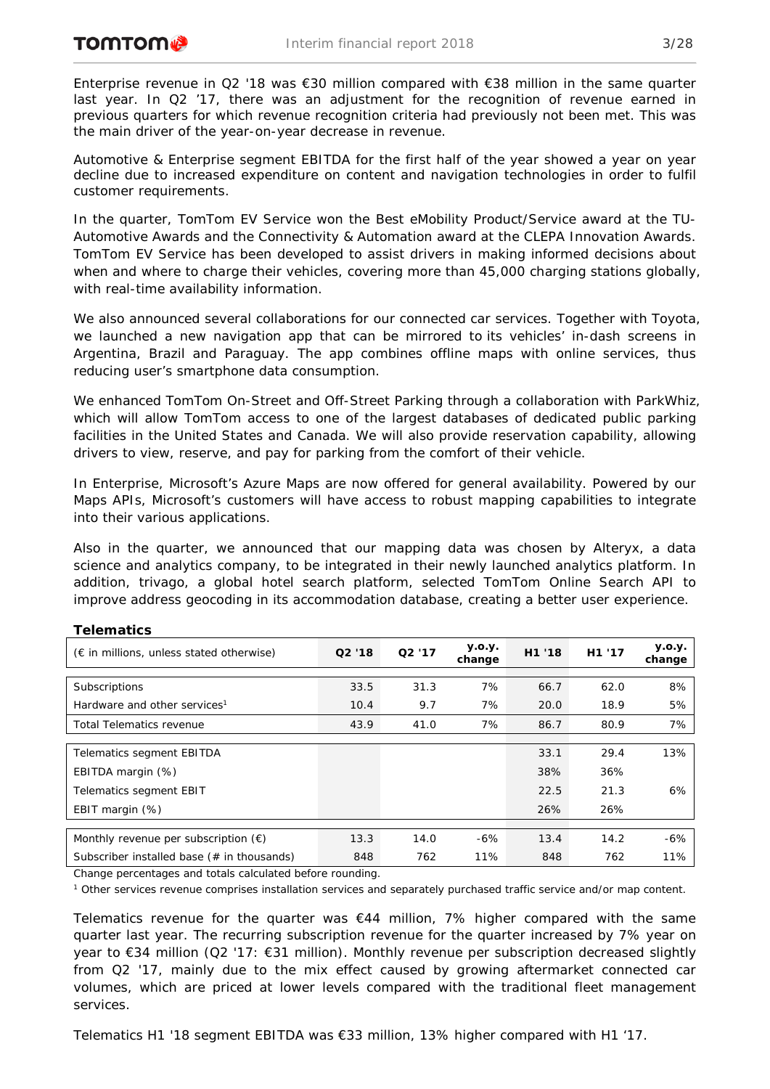Enterprise revenue in Q2 '18 was €30 million compared with €38 million in the same quarter last year. In Q2 '17, there was an adjustment for the recognition of revenue earned in previous quarters for which revenue recognition criteria had previously not been met. This was the main driver of the year-on-year decrease in revenue.

Automotive & Enterprise segment EBITDA for the first half of the year showed a year on year decline due to increased expenditure on content and navigation technologies in order to fulfil customer requirements.

In the quarter, TomTom EV Service won the Best eMobility Product/Service award at the TU-Automotive Awards and the Connectivity & Automation award at the CLEPA Innovation Awards. TomTom EV Service has been developed to assist drivers in making informed decisions about when and where to charge their vehicles, covering more than 45,000 charging stations globally, with real-time availability information.

We also announced several collaborations for our connected car services. Together with Toyota, we launched a new navigation app that can be mirrored to [its](https://www.toyota.com/) vehicles' in-dash screens in Argentina, Brazil and Paraguay. The app combines offline maps with online services, thus reducing user's smartphone data consumption.

We enhanced TomTom On-Street and Off-Street Parking through a collaboration with ParkWhiz, which will allow TomTom access to one of the largest databases of dedicated public parking facilities in the United States and Canada. We will also provide reservation capability, allowing drivers to view, reserve, and pay for parking from the comfort of their vehicle.

In Enterprise, Microsoft's Azure Maps are now offered for general availability. Powered by our Maps APIs, Microsoft's customers will have access to robust mapping capabilities to integrate into their various applications.

Also in the quarter, we announced that our mapping data was chosen by Alteryx, a data science and analytics company, to be integrated in their newly launched analytics platform. In addition, trivago, a global hotel search platform, selected TomTom Online Search API to improve address geocoding in its accommodation database, creating a better user experience.

| Q2'18 | Q2'17 | <b>y.o.y.</b><br>change | H1 '18 | H1 '17 | y.o.y.<br>change |
|-------|-------|-------------------------|--------|--------|------------------|
|       |       |                         |        |        |                  |
| 33.5  | 31.3  | 7%                      | 66.7   | 62.0   | 8%               |
| 10.4  | 9.7   | 7%                      | 20.0   | 18.9   | 5%               |
| 43.9  | 41.0  | 7%                      | 86.7   | 80.9   | 7%               |
|       |       |                         |        |        |                  |
|       |       |                         | 33.1   | 29.4   | 13%              |
|       |       |                         | 38%    | 36%    |                  |
|       |       |                         | 22.5   | 21.3   | 6%               |
|       |       |                         | 26%    | 26%    |                  |
|       |       |                         |        |        |                  |
| 13.3  | 14.0  | $-6%$                   | 13.4   | 14.2   | $-6%$            |
| 848   | 762   | 11%                     | 848    | 762    | 11%              |
|       |       |                         |        |        |                  |

# **Telematics**

*Change percentages and totals calculated before rounding.*

*<sup>1</sup> Other services revenue comprises installation services and separately purchased traffic service and/or map content.*

Telematics revenue for the quarter was  $644$  million, 7% higher compared with the same quarter last year. The recurring subscription revenue for the quarter increased by 7% year on year to €34 million (Q2 '17: €31 million). Monthly revenue per subscription decreased slightly from Q2 '17, mainly due to the mix effect caused by growing aftermarket connected car volumes, which are priced at lower levels compared with the traditional fleet management services.

Telematics H1 '18 segment EBITDA was €33 million, 13% higher compared with H1 '17.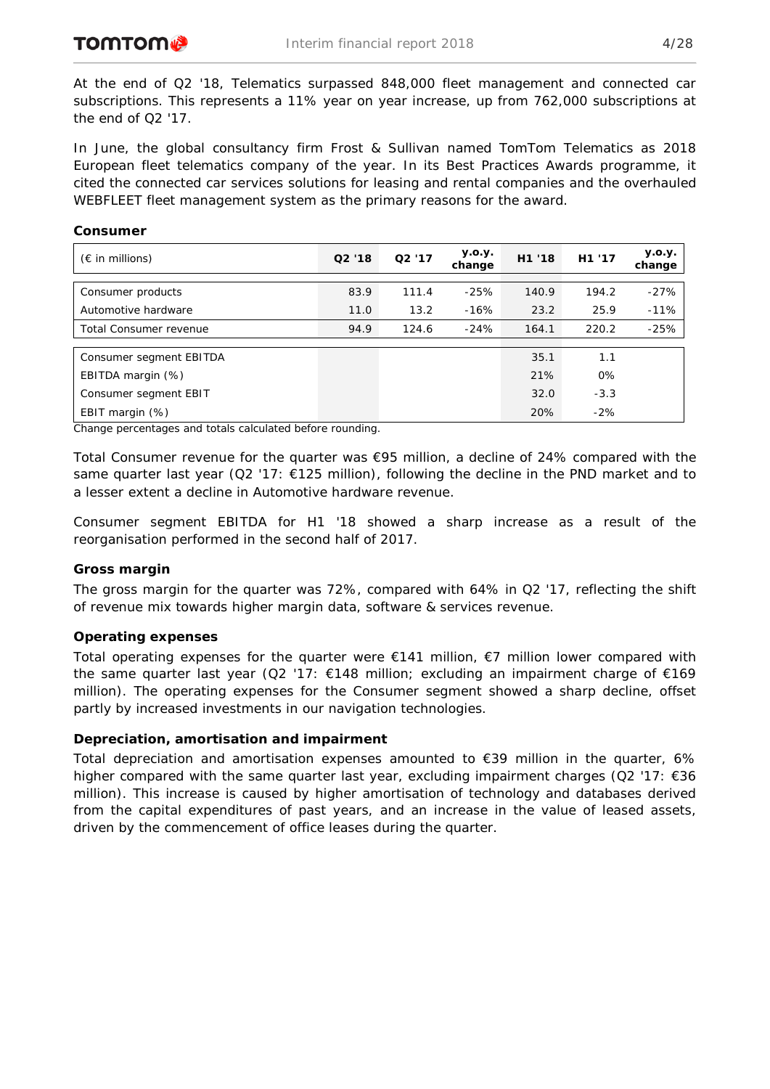**Consumer**

At the end of Q2 '18, Telematics surpassed 848,000 fleet management and connected car subscriptions. This represents a 11% year on year increase, up from 762,000 subscriptions at the end of Q2 '17.

In June, the global consultancy firm Frost & Sullivan named TomTom Telematics as 2018 European fleet telematics company of the year. In its Best Practices Awards programme, it cited the connected car services solutions for leasing and rental companies and the overhauled WEBFLEET fleet management system as the primary reasons for the award.

| $(\epsilon$ in millions) | Q2 '18 | Q2'17 | <b>y.o.y.</b><br>change | H1 '18 | H <sub>1</sub> '17 | <b>y.o.y.</b><br>change |
|--------------------------|--------|-------|-------------------------|--------|--------------------|-------------------------|
| Consumer products        | 83.9   | 111.4 | $-25%$                  | 140.9  | 194.2              | $-27%$                  |
| Automotive hardware      | 11.0   | 13.2  | $-16%$                  | 23.2   | 25.9               | $-11%$                  |
| Total Consumer revenue   | 94.9   | 124.6 | $-24%$                  | 164.1  | 220.2              | $-25%$                  |
|                          |        |       |                         | 35.1   | 1.1                |                         |
| Consumer segment EBITDA  |        |       |                         |        |                    |                         |
| EBITDA margin (%)        |        |       |                         | 21%    | 0%                 |                         |
| Consumer segment EBIT    |        |       |                         | 32.0   | $-3.3$             |                         |
| EBIT margin (%)          |        |       |                         | 20%    | $-2%$              |                         |

*Change percentages and totals calculated before rounding.*

Total Consumer revenue for the quarter was  $\epsilon$ 95 million, a decline of 24% compared with the same quarter last year (Q2 '17:  $\epsilon$ 125 million), following the decline in the PND market and to a lesser extent a decline in Automotive hardware revenue.

Consumer segment EBITDA for H1 '18 showed a sharp increase as a result of the reorganisation performed in the second half of 2017.

#### **Gross margin**

The gross margin for the quarter was 72%, compared with 64% in Q2 '17, reflecting the shift of revenue mix towards higher margin data, software & services revenue.

#### **Operating expenses**

Total operating expenses for the quarter were  $E141$  million,  $E7$  million lower compared with the same quarter last year (Q2 '17:  $\epsilon$ 148 million; excluding an impairment charge of  $\epsilon$ 169 million). The operating expenses for the Consumer segment showed a sharp decline, offset partly by increased investments in our navigation technologies.

### **Depreciation, amortisation and impairment**

Total depreciation and amortisation expenses amounted to  $\epsilon$ 39 million in the quarter, 6% higher compared with the same quarter last year, excluding impairment charges (Q2 '17: €36 million). This increase is caused by higher amortisation of technology and databases derived from the capital expenditures of past years, and an increase in the value of leased assets, driven by the commencement of office leases during the quarter.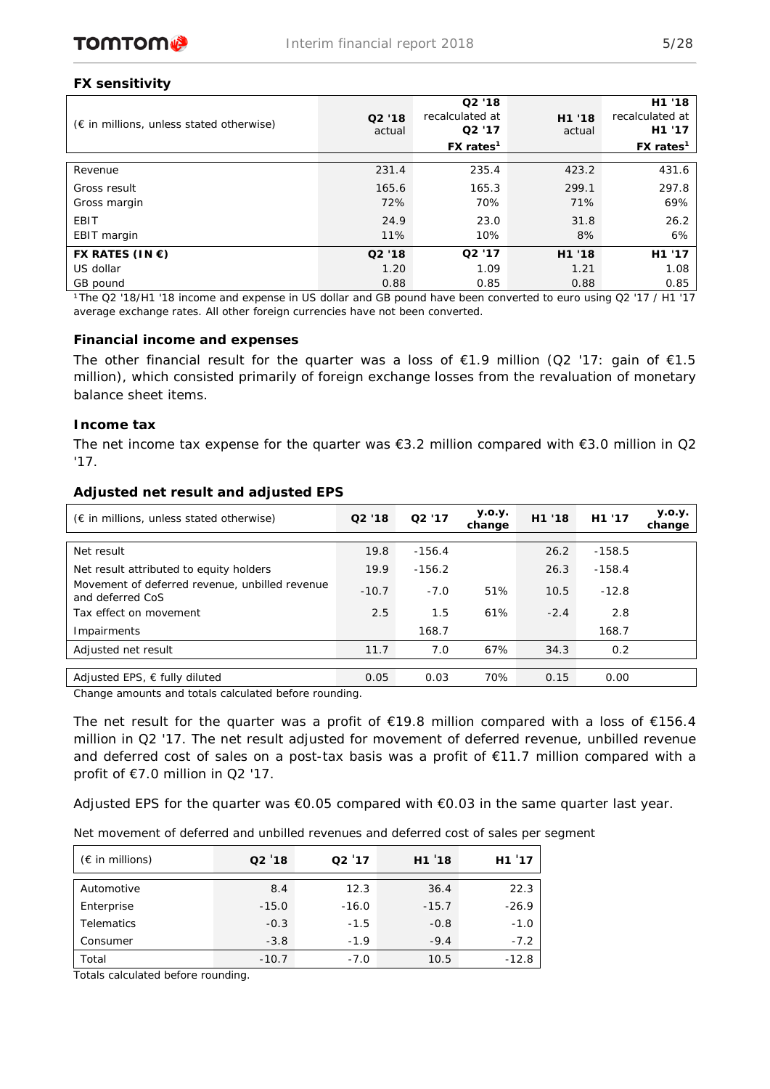

# **FX sensitivity**

| $(\epsilon$ in millions, unless stated otherwise) | Q2'18<br>actual | Q2'18<br>recalculated at<br>Q <sub>2</sub> '17<br>$FX$ rates <sup>1</sup> | H1 '18<br>actual | H1 '18<br>recalculated at<br>H <sub>1</sub> '17<br>$FX$ rates <sup>1</sup> |
|---------------------------------------------------|-----------------|---------------------------------------------------------------------------|------------------|----------------------------------------------------------------------------|
| Revenue                                           | 231.4           | 235.4                                                                     | 423.2            | 431.6                                                                      |
| Gross result                                      | 165.6           | 165.3                                                                     | 299.1            | 297.8                                                                      |
| Gross margin                                      | 72%             | 70%                                                                       | 71%              | 69%                                                                        |
| EBIT                                              | 24.9            | 23.0                                                                      | 31.8             | 26.2                                                                       |
| EBIT margin                                       | 11%             | 10%                                                                       | 8%               | 6%                                                                         |
| FX RATES (IN $\epsilon$ )                         | Q2'18           | Q2'17                                                                     | H1 '18           | H <sub>1</sub> '17                                                         |
| US dollar                                         | 1.20            | 1.09                                                                      | 1.21             | 1.08                                                                       |
| GB pound                                          | 0.88            | 0.85                                                                      | 0.88             | 0.85                                                                       |

*¹The Q2 '18/H1 '18 income and expense in US dollar and GB pound have been converted to euro using Q2 '17 / H1 '17 average exchange rates. All other foreign currencies have not been converted.*

### **Financial income and expenses**

The other financial result for the quarter was a loss of  $E1.9$  million (Q2 '17: gain of  $E1.5$ million), which consisted primarily of foreign exchange losses from the revaluation of monetary balance sheet items.

## **Income tax**

The net income tax expense for the quarter was €3.2 million compared with €3.0 million in Q2 '17.

| $(\epsilon$ in millions, unless stated otherwise)                  | Q2 '18  | Q <sub>2</sub> '17 | <b>y.o.y.</b><br>change | H1 '18 | H <sub>1</sub> '17 | <b>y.o.y.</b><br>change |
|--------------------------------------------------------------------|---------|--------------------|-------------------------|--------|--------------------|-------------------------|
|                                                                    |         |                    |                         |        |                    |                         |
| Net result                                                         | 19.8    | $-156.4$           |                         | 26.2   | $-158.5$           |                         |
| Net result attributed to equity holders                            | 19.9    | $-156.2$           |                         | 26.3   | $-158.4$           |                         |
| Movement of deferred revenue, unbilled revenue<br>and deferred CoS | $-10.7$ | $-7.0$             | 51%                     | 10.5   | $-12.8$            |                         |
| Tax effect on movement                                             | 2.5     | 1.5                | 61%                     | $-2.4$ | 2.8                |                         |
| Impairments                                                        |         | 168.7              |                         |        | 168.7              |                         |
| Adjusted net result                                                | 11.7    | 7.0                | 67%                     | 34.3   | 0.2                |                         |
|                                                                    |         |                    |                         |        |                    |                         |
| Adjusted EPS, $\epsilon$ fully diluted                             | 0.05    | 0.03               | 70%                     | 0.15   | 0.00               |                         |

### **Adjusted net result and adjusted EPS**

*Change amounts and totals calculated before rounding.*

The net result for the quarter was a profit of  $\epsilon$ 19.8 million compared with a loss of  $\epsilon$ 156.4 million in Q2 '17. The net result adjusted for movement of deferred revenue, unbilled revenue and deferred cost of sales on a post-tax basis was a profit of €11.7 million compared with a profit of €7.0 million in Q2 '17.

Adjusted EPS for the quarter was  $\epsilon$ 0.05 compared with  $\epsilon$ 0.03 in the same quarter last year.

*Net movement of deferred and unbilled revenues and deferred cost of sales per segment* 

| $(\epsilon$ in millions) | Q2'18   | Q2'17   | H1'18   | H1'17   |
|--------------------------|---------|---------|---------|---------|
| Automotive               | 8.4     | 12.3    | 36.4    | 22.3    |
| Enterprise               | $-15.0$ | $-16.0$ | $-15.7$ | $-26.9$ |
| <b>Telematics</b>        | $-0.3$  | $-1.5$  | $-0.8$  | $-1.0$  |
| Consumer                 | $-3.8$  | $-1.9$  | $-9.4$  | $-7.2$  |
| Total                    | $-10.7$ | $-7.0$  | 10.5    | $-12.8$ |

*Totals calculated before rounding.*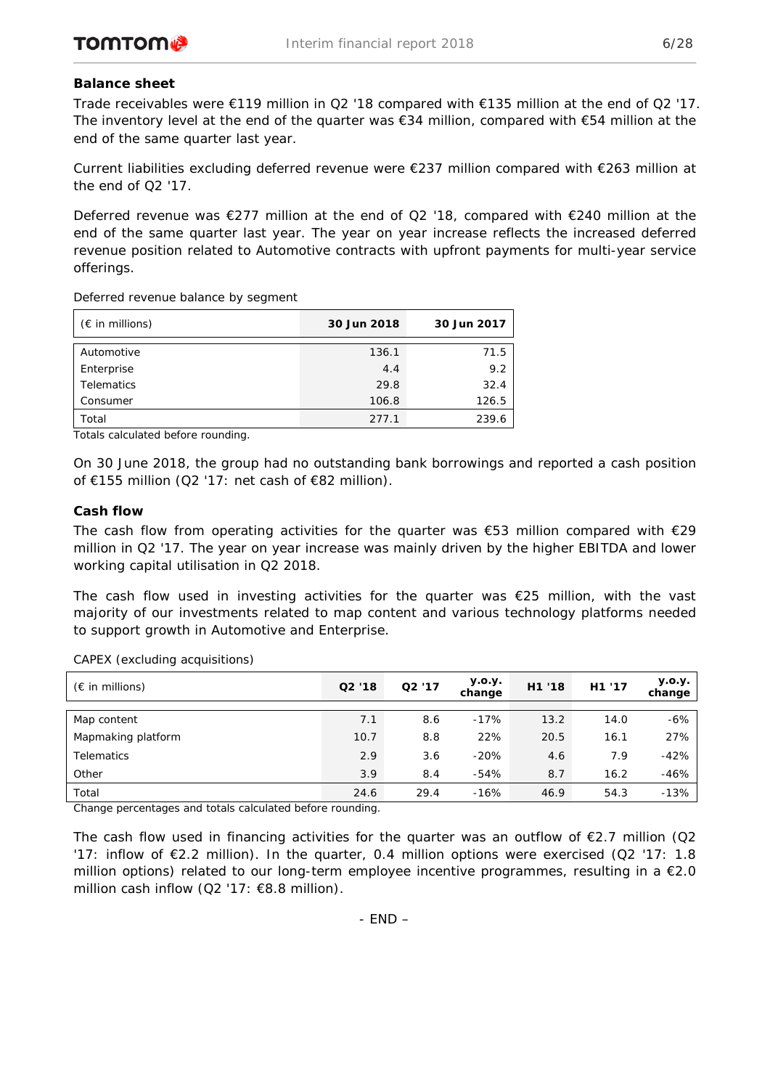# **Balance sheet**

Trade receivables were €119 million in Q2 '18 compared with €135 million at the end of Q2 '17. The inventory level at the end of the quarter was  $€34$  million, compared with  $€54$  million at the end of the same quarter last year.

Current liabilities excluding deferred revenue were €237 million compared with €263 million at the end of Q2 '17.

Deferred revenue was €277 million at the end of Q2 '18, compared with €240 million at the end of the same quarter last year. The year on year increase reflects the increased deferred revenue position related to Automotive contracts with upfront payments for multi-year service offerings.

*Deferred revenue balance by segment*

| $(\epsilon$ in millions) | 30 Jun 2018 | 30 Jun 2017 |
|--------------------------|-------------|-------------|
| Automotive               | 136.1       | 71.5        |
| Enterprise               | 4.4         | 9.2         |
| <b>Telematics</b>        | 29.8        | 32.4        |
| Consumer                 | 106.8       | 126.5       |
| Total                    | 277.1       | 239.6       |

*Totals calculated before rounding.*

On 30 June 2018, the group had no outstanding bank borrowings and reported a cash position of €155 million (Q2 '17: net cash of €82 million).

# **Cash flow**

The cash flow from operating activities for the quarter was  $\epsilon$ 53 million compared with  $\epsilon$ 29 million in Q2 '17. The year on year increase was mainly driven by the higher EBITDA and lower working capital utilisation in Q2 2018.

The cash flow used in investing activities for the quarter was  $\epsilon$ 25 million, with the vast majority of our investments related to map content and various technology platforms needed to support growth in Automotive and Enterprise.

| $(\epsilon$ in millions) | Q2'18 | Q2'17 | y.o.y.<br>change | H1 '18 | H <sub>1</sub> '17 | <b>y.o.y.</b><br>change |
|--------------------------|-------|-------|------------------|--------|--------------------|-------------------------|
|                          |       |       |                  |        |                    |                         |
| Map content              | 7.1   | 8.6   | $-17%$           | 13.2   | 14.0               | $-6%$                   |
| Mapmaking platform       | 10.7  | 8.8   | 22%              | 20.5   | 16.1               | 27%                     |
| <b>Telematics</b>        | 2.9   | 3.6   | $-20%$           | 4.6    | 7.9                | $-42%$                  |
| Other                    | 3.9   | 8.4   | -54%             | 8.7    | 16.2               | $-46%$                  |
| Total                    | 24.6  | 29.4  | $-16%$           | 46.9   | 54.3               | $-13%$                  |

*CAPEX (excluding acquisitions)*

*Change percentages and totals calculated before rounding.*

The cash flow used in financing activities for the quarter was an outflow of  $\epsilon$ 2.7 million (Q2 '17: inflow of €2.2 million). In the quarter, 0.4 million options were exercised (Q2 '17: 1.8 million options) related to our long-term employee incentive programmes, resulting in a €2.0 million cash inflow (Q2 '17: €8.8 million).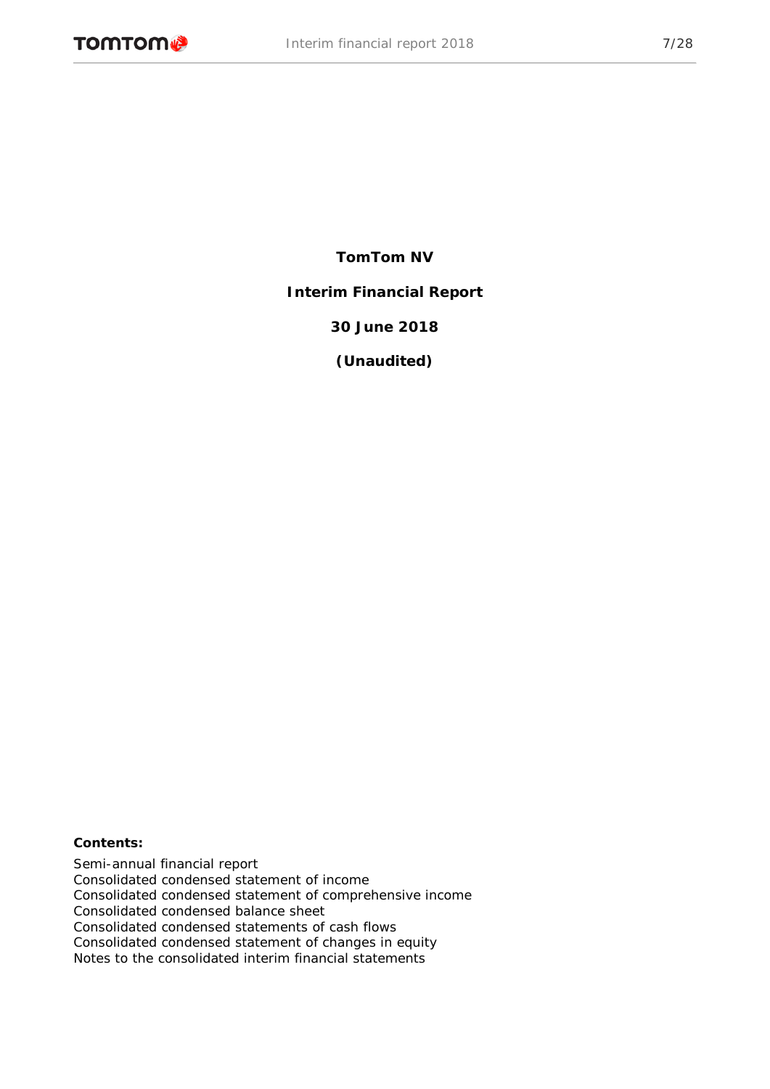# **TomTom NV**

**Interim Financial Report**

**30 June 2018**

**(Unaudited)**

## **Contents:**

Semi-annual financial report Consolidated condensed statement of income Consolidated condensed statement of comprehensive income Consolidated condensed balance sheet Consolidated condensed statements of cash flows Consolidated condensed statement of changes in equity Notes to the consolidated interim financial statements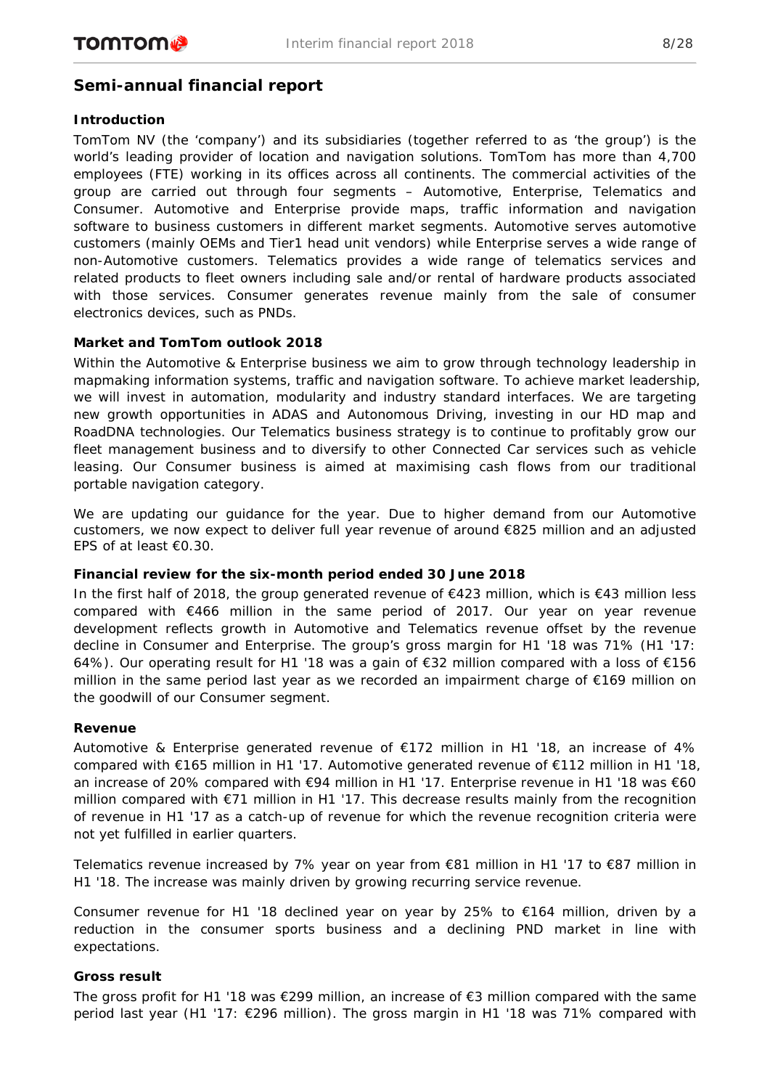# **Semi-annual financial report**

# **Introduction**

TomTom NV (the 'company') and its subsidiaries (together referred to as 'the group') is the world's leading provider of location and navigation solutions. TomTom has more than 4,700 employees (FTE) working in its offices across all continents. The commercial activities of the group are carried out through four segments – Automotive, Enterprise, Telematics and Consumer. Automotive and Enterprise provide maps, traffic information and navigation software to business customers in different market segments. Automotive serves automotive customers (mainly OEMs and Tier1 head unit vendors) while Enterprise serves a wide range of non-Automotive customers. Telematics provides a wide range of telematics services and related products to fleet owners including sale and/or rental of hardware products associated with those services. Consumer generates revenue mainly from the sale of consumer electronics devices, such as PNDs.

# **Market and TomTom outlook 2018**

Within the Automotive & Enterprise business we aim to grow through technology leadership in mapmaking information systems, traffic and navigation software. To achieve market leadership, we will invest in automation, modularity and industry standard interfaces. We are targeting new growth opportunities in ADAS and Autonomous Driving, investing in our HD map and RoadDNA technologies. Our Telematics business strategy is to continue to profitably grow our fleet management business and to diversify to other Connected Car services such as vehicle leasing. Our Consumer business is aimed at maximising cash flows from our traditional portable navigation category.

We are updating our guidance for the year. Due to higher demand from our Automotive customers, we now expect to deliver full year revenue of around €825 million and an adjusted EPS of at least €0.30.

## **Financial review for the six-month period ended 30 June 2018**

In the first half of 2018, the group generated revenue of €423 million, which is €43 million less compared with €466 million in the same period of 2017. Our year on year revenue development reflects growth in Automotive and Telematics revenue offset by the revenue decline in Consumer and Enterprise. The group's gross margin for H1 '18 was 71% (H1 '17: 64%). Our operating result for H1 '18 was a gain of €32 million compared with a loss of €156 million in the same period last year as we recorded an impairment charge of €169 million on the goodwill of our Consumer segment.

## **Revenue**

Automotive & Enterprise generated revenue of  $\epsilon$ 172 million in H1 '18, an increase of 4% compared with €165 million in H1 '17. Automotive generated revenue of €112 million in H1 '18, an increase of 20% compared with €94 million in H1 '17. Enterprise revenue in H1 '18 was €60 million compared with €71 million in H1 '17. This decrease results mainly from the recognition of revenue in H1 '17 as a catch-up of revenue for which the revenue recognition criteria were not yet fulfilled in earlier quarters.

Telematics revenue increased by 7% year on year from €81 million in H1 '17 to €87 million in H1 '18. The increase was mainly driven by growing recurring service revenue.

Consumer revenue for H1 '18 declined year on year by 25% to  $\epsilon$ 164 million, driven by a reduction in the consumer sports business and a declining PND market in line with expectations.

## **Gross result**

The gross profit for H1 '18 was €299 million, an increase of €3 million compared with the same period last year (H1 '17: €296 million). The gross margin in H1 '18 was 71% compared with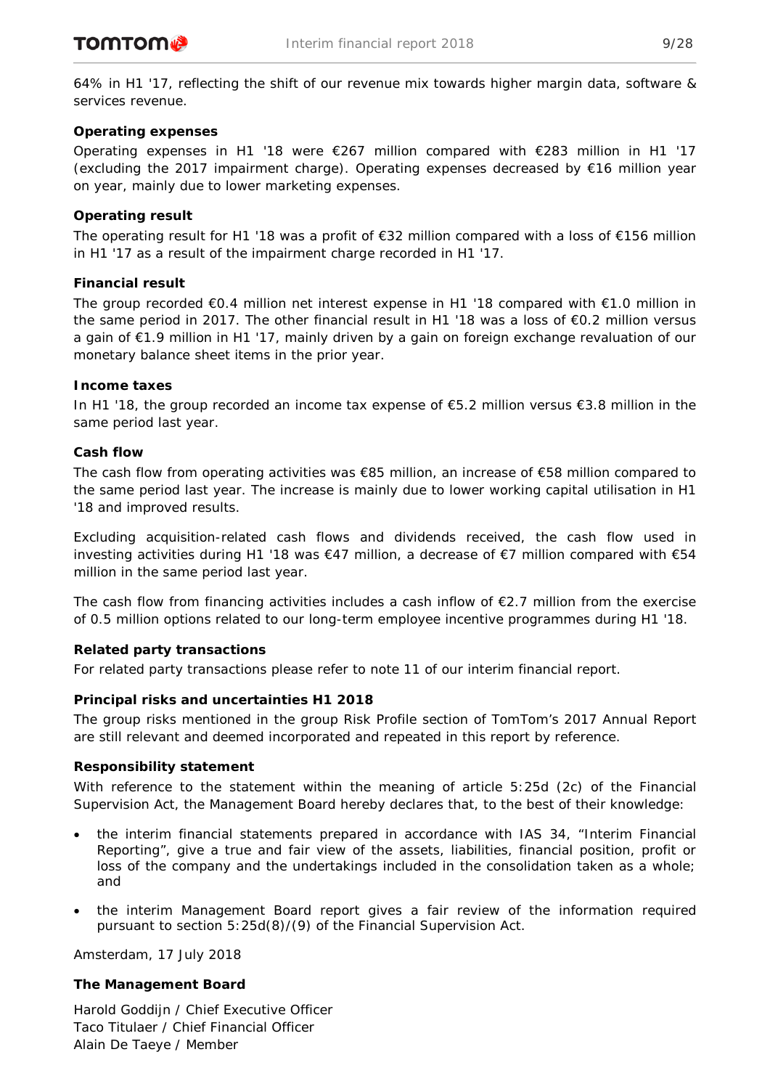64% in H1 '17, reflecting the shift of our revenue mix towards higher margin data, software & services revenue.

# **Operating expenses**

Operating expenses in H1 '18 were  $\epsilon$ 267 million compared with  $\epsilon$ 283 million in H1 '17 (excluding the 2017 impairment charge). Operating expenses decreased by €16 million year on year, mainly due to lower marketing expenses.

# **Operating result**

The operating result for H1 '18 was a profit of €32 million compared with a loss of €156 million in H1 '17 as a result of the impairment charge recorded in H1 '17.

# **Financial result**

The group recorded €0.4 million net interest expense in H1 '18 compared with €1.0 million in the same period in 2017. The other financial result in H1 '18 was a loss of €0.2 million versus a gain of €1.9 million in H1 '17, mainly driven by a gain on foreign exchange revaluation of our monetary balance sheet items in the prior year.

# **Income taxes**

In H1 '18, the group recorded an income tax expense of €5.2 million versus €3.8 million in the same period last year.

# **Cash flow**

The cash flow from operating activities was €85 million, an increase of €58 million compared to the same period last year. The increase is mainly due to lower working capital utilisation in H1 '18 and improved results.

Excluding acquisition-related cash flows and dividends received, the cash flow used in investing activities during H1 '18 was €47 million, a decrease of €7 million compared with €54 million in the same period last year.

The cash flow from financing activities includes a cash inflow of  $E$ 2.7 million from the exercise of 0.5 million options related to our long-term employee incentive programmes during H1 '18.

# **Related party transactions**

For related party transactions please refer to note 11 of our interim financial report.

# **Principal risks and uncertainties H1 2018**

The group risks mentioned in the group Risk Profile section of TomTom's 2017 Annual Report are still relevant and deemed incorporated and repeated in this report by reference.

# **Responsibility statement**

With reference to the statement within the meaning of article 5:25d (2c) of the Financial Supervision Act, the Management Board hereby declares that, to the best of their knowledge:

- the interim financial statements prepared in accordance with IAS 34, "Interim Financial Reporting", give a true and fair view of the assets, liabilities, financial position, profit or loss of the company and the undertakings included in the consolidation taken as a whole; and
- the interim Management Board report gives a fair review of the information required pursuant to section 5:25d(8)/(9) of the Financial Supervision Act.

Amsterdam, 17 July 2018

# **The Management Board**

Harold Goddijn / Chief Executive Officer Taco Titulaer / Chief Financial Officer Alain De Taeye / Member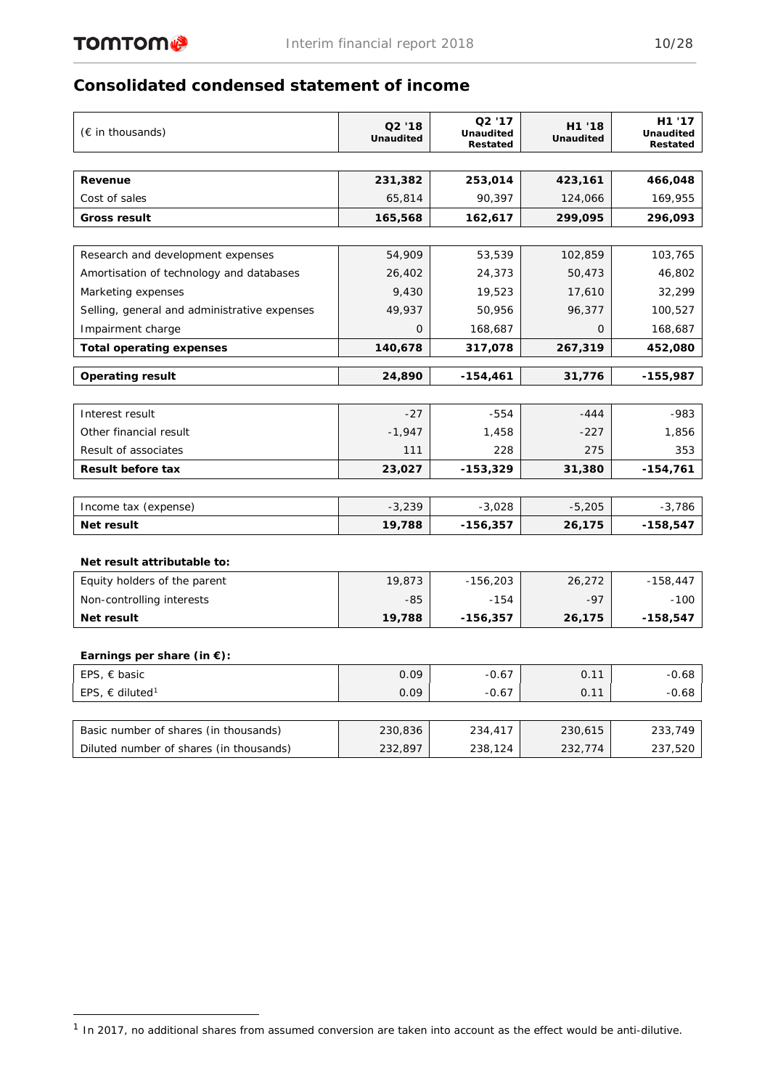# **Consolidated condensed statement of income**

| $(\epsilon$ in thousands)                                 | Q <sub>2</sub> '18<br><b>Unaudited</b> | Q2 '17<br><b>Unaudited</b><br>Restated | H1 '18<br><b>Unaudited</b> | H1 '17<br><b>Unaudited</b><br>Restated |
|-----------------------------------------------------------|----------------------------------------|----------------------------------------|----------------------------|----------------------------------------|
|                                                           |                                        |                                        |                            |                                        |
| Revenue                                                   | 231,382                                | 253,014                                | 423,161                    | 466,048                                |
| Cost of sales                                             | 65,814                                 | 90,397                                 | 124,066                    | 169,955                                |
| Gross result                                              | 165,568                                | 162,617                                | 299,095                    | 296,093                                |
|                                                           |                                        |                                        |                            |                                        |
| Research and development expenses                         | 54,909                                 | 53,539                                 | 102,859                    | 103,765                                |
| Amortisation of technology and databases                  | 26,402                                 | 24,373                                 | 50,473                     | 46,802                                 |
| Marketing expenses                                        | 9,430                                  | 19,523                                 | 17,610                     | 32,299                                 |
| Selling, general and administrative expenses              | 49,937                                 | 50,956                                 | 96,377                     | 100,527                                |
| Impairment charge                                         | 0                                      | 168,687                                | 0                          | 168,687                                |
| <b>Total operating expenses</b>                           | 140,678                                | 317,078                                | 267,319                    | 452,080                                |
| <b>Operating result</b>                                   | 24,890                                 | $-154,461$                             | 31,776                     | -155,987                               |
|                                                           |                                        |                                        |                            |                                        |
| Interest result                                           | $-27$                                  | $-554$                                 | $-444$                     | $-983$                                 |
| Other financial result                                    | $-1,947$                               | 1,458                                  | $-227$                     | 1,856                                  |
| Result of associates                                      | 111                                    | 228                                    | 275                        | 353                                    |
| <b>Result before tax</b>                                  | 23,027                                 | $-153,329$                             | 31,380                     | $-154,761$                             |
|                                                           |                                        |                                        |                            |                                        |
| Income tax (expense)                                      | $-3,239$                               | $-3,028$                               | $-5,205$                   | $-3,786$                               |
| Net result                                                | 19,788                                 | $-156,357$                             | 26,175                     | -158,547                               |
|                                                           |                                        |                                        |                            |                                        |
| Net result attributable to:                               | 19,873                                 | $-156,203$                             | 26,272                     | $-158,447$                             |
| Equity holders of the parent<br>Non-controlling interests | $-85$                                  | $-154$                                 | $-97$                      | $-100$                                 |
| Net result                                                | 19,788                                 | $-156,357$                             | 26,175                     | -158,547                               |
|                                                           |                                        |                                        |                            |                                        |
| Earnings per share (in $\epsilon$ ):                      |                                        |                                        |                            |                                        |
| EPS, $\epsilon$ basic                                     | 0.09                                   | $-0.67$                                | 0.11                       | $-0.68$                                |
| EPS, $\in$ diluted <sup>1</sup>                           | 0.09                                   | $-0.67$                                | 0.11                       | $-0.68$                                |
|                                                           |                                        |                                        |                            |                                        |
| Basic number of shares (in thousands)                     | 230,836                                | 234,417                                | 230,615                    | 233,749                                |
| Diluted number of shares (in thousands)                   | 232,897                                | 238,124                                | 232,774                    | 237,520                                |

<span id="page-9-0"></span> $1$  In 2017, no additional shares from assumed conversion are taken into account as the effect would be anti-dilutive.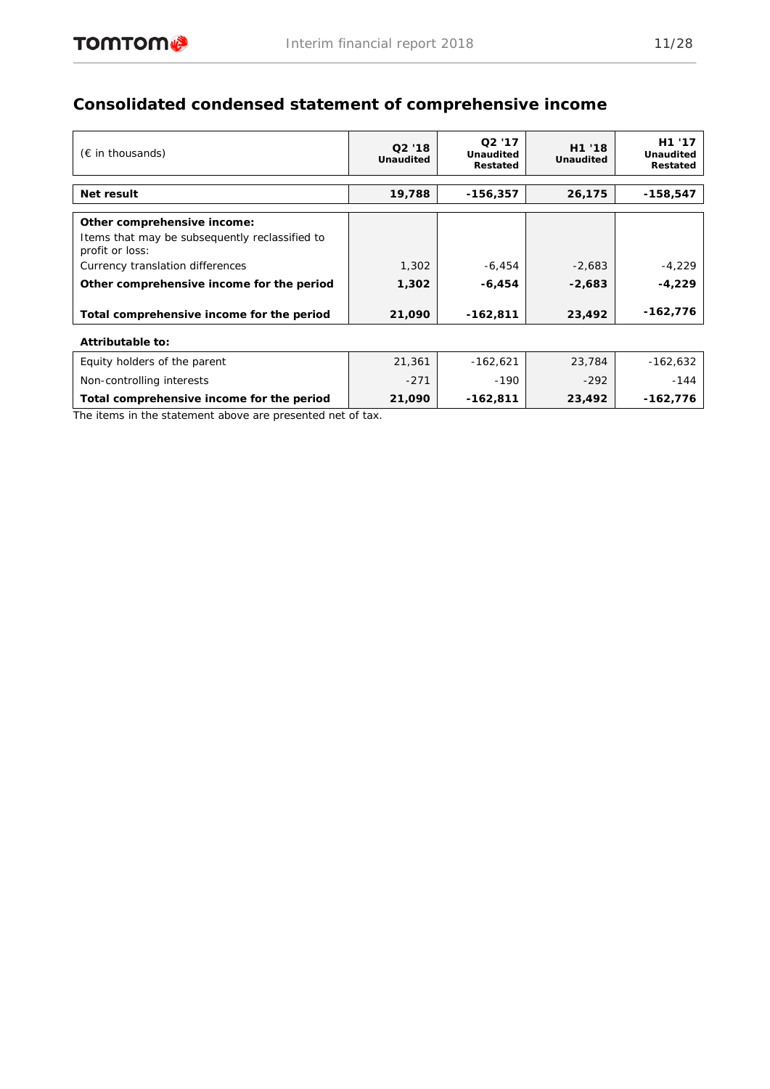# **Consolidated condensed statement of comprehensive income**

| $(\epsilon$ in thousands)                                         | Q2'18<br><b>Unaudited</b> | Q <sub>2</sub> '17<br><b>Unaudited</b><br>Restated | H1 '18<br><b>Unaudited</b> | H1 '17<br><b>Unaudited</b><br>Restated |  |  |  |
|-------------------------------------------------------------------|---------------------------|----------------------------------------------------|----------------------------|----------------------------------------|--|--|--|
| Net result                                                        | 19,788                    | $-156,357$                                         | 26,175                     | $-158,547$                             |  |  |  |
|                                                                   |                           |                                                    |                            |                                        |  |  |  |
| Other comprehensive income:                                       |                           |                                                    |                            |                                        |  |  |  |
| Items that may be subsequently reclassified to<br>profit or loss: |                           |                                                    |                            |                                        |  |  |  |
| Currency translation differences                                  | 1,302                     | $-6,454$                                           | $-2,683$                   | $-4,229$                               |  |  |  |
| Other comprehensive income for the period                         | 1,302                     | $-6,454$                                           | $-2,683$                   | $-4,229$                               |  |  |  |
| Total comprehensive income for the period                         | 21,090                    | $-162,811$                                         | 23,492                     | -162,776                               |  |  |  |
| Attributable to:                                                  |                           |                                                    |                            |                                        |  |  |  |
| Equity holders of the parent                                      | 21,361                    | $-162,621$                                         | 23,784                     | $-162,632$                             |  |  |  |
| Non-controlling interests                                         | $-271$                    | $-190$                                             | $-292$                     | $-144$                                 |  |  |  |
| Total comprehensive income for the period                         | 21,090                    | $-162,811$                                         | 23,492                     | $-162,776$                             |  |  |  |

*The items in the statement above are presented net of tax.*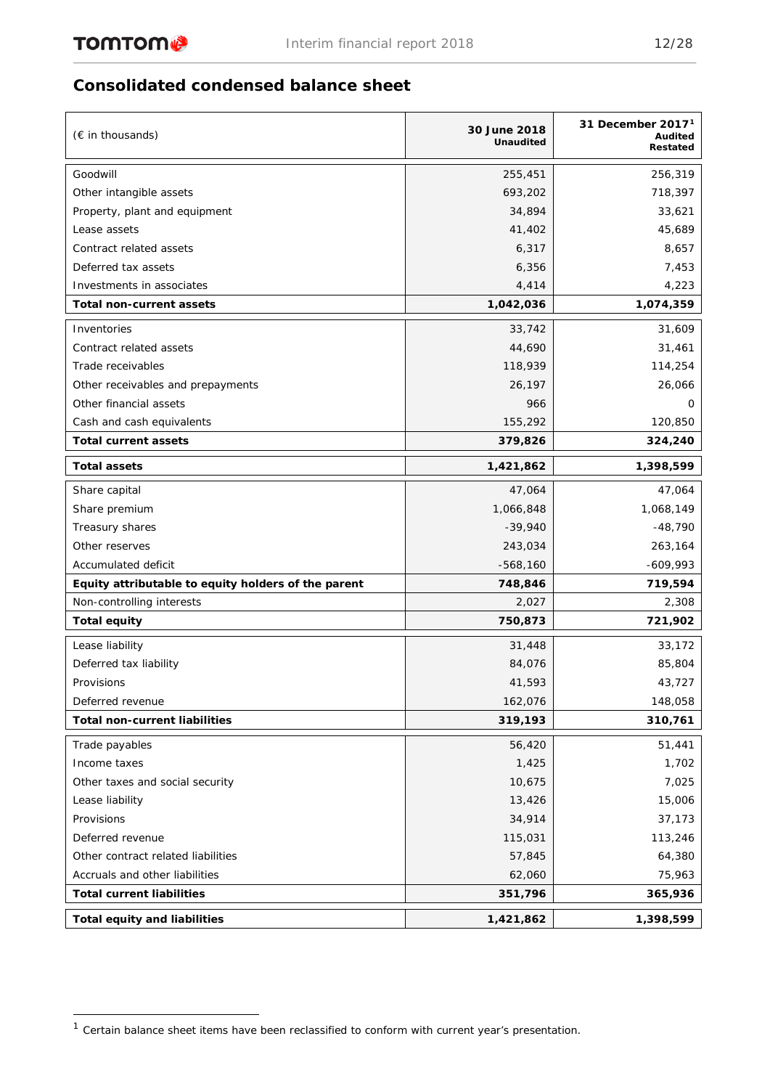# **Consolidated condensed balance sheet**

| (€ in thousands)                                    | 30 June 2018<br><b>Unaudited</b> | 31 December $20171$<br>Audited<br>Restated |
|-----------------------------------------------------|----------------------------------|--------------------------------------------|
| Goodwill                                            | 255,451                          | 256,319                                    |
| Other intangible assets                             | 693,202                          | 718,397                                    |
| Property, plant and equipment                       | 34,894                           | 33,621                                     |
| Lease assets                                        | 41,402                           | 45,689                                     |
| Contract related assets                             | 6,317                            | 8,657                                      |
| Deferred tax assets                                 | 6,356                            | 7,453                                      |
| Investments in associates                           | 4,414                            | 4,223                                      |
| Total non-current assets                            | 1,042,036                        | 1,074,359                                  |
| Inventories                                         | 33,742                           | 31,609                                     |
| Contract related assets                             | 44,690                           | 31,461                                     |
| Trade receivables                                   | 118,939                          | 114,254                                    |
| Other receivables and prepayments                   | 26,197                           | 26,066                                     |
| Other financial assets                              | 966                              | $\Omega$                                   |
| Cash and cash equivalents                           | 155,292                          | 120,850                                    |
| <b>Total current assets</b>                         | 379,826                          | 324,240                                    |
| <b>Total assets</b>                                 | 1,421,862                        | 1,398,599                                  |
| Share capital                                       | 47,064                           | 47,064                                     |
| Share premium                                       | 1,066,848                        | 1,068,149                                  |
| Treasury shares                                     | $-39,940$                        | $-48,790$                                  |
| Other reserves                                      | 243,034                          | 263,164                                    |
| Accumulated deficit                                 | $-568,160$                       | $-609,993$                                 |
| Equity attributable to equity holders of the parent | 748,846                          | 719,594                                    |
| Non-controlling interests                           | 2,027                            | 2,308                                      |
| <b>Total equity</b>                                 | 750,873                          | 721,902                                    |
| Lease liability                                     | 31,448                           | 33,172                                     |
| Deferred tax liability                              | 84,076                           | 85,804                                     |
| Provisions                                          | 41,593                           | 43,727                                     |
| Deferred revenue                                    | 162,076                          | 148,058                                    |
| <b>Total non-current liabilities</b>                | 319,193                          | 310,761                                    |
| Trade payables                                      | 56,420                           | 51,441                                     |
| Income taxes                                        | 1,425                            | 1,702                                      |
| Other taxes and social security                     | 10,675                           | 7,025                                      |
| Lease liability                                     | 13,426                           | 15,006                                     |
| Provisions                                          | 34,914                           | 37,173                                     |
| Deferred revenue                                    | 115,031                          | 113,246                                    |
| Other contract related liabilities                  | 57,845                           | 64,380                                     |
| Accruals and other liabilities                      | 62,060                           | 75,963                                     |
| <b>Total current liabilities</b>                    | 351,796                          | 365,936                                    |
| <b>Total equity and liabilities</b>                 | 1,421,862                        | 1,398,599                                  |

<span id="page-11-0"></span> $1$  Certain balance sheet items have been reclassified to conform with current year's presentation.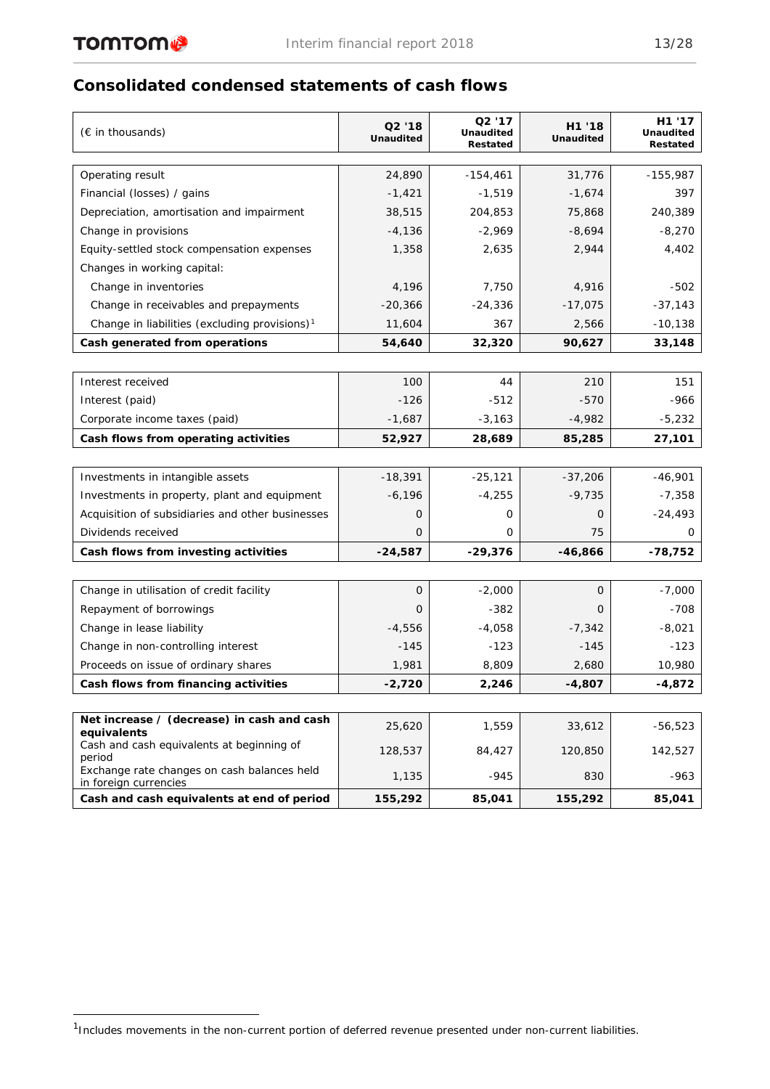# **Consolidated condensed statements of cash flows**

| (€ in thousands)                                                     | Q2 '18<br><b>Unaudited</b> | Q2 '17<br><b>Unaudited</b><br>Restated | H1 '18<br><b>Unaudited</b> | H1 '17<br><b>Unaudited</b><br>Restated |
|----------------------------------------------------------------------|----------------------------|----------------------------------------|----------------------------|----------------------------------------|
|                                                                      | 24,890                     | $-154,461$                             | 31,776                     | $-155,987$                             |
| Operating result<br>Financial (losses) / gains                       | $-1,421$                   | $-1,519$                               | $-1,674$                   | 397                                    |
| Depreciation, amortisation and impairment                            | 38,515                     | 204,853                                | 75,868                     | 240,389                                |
| Change in provisions                                                 | $-4,136$                   | $-2,969$                               | $-8,694$                   | $-8,270$                               |
| Equity-settled stock compensation expenses                           | 1,358                      | 2,635                                  | 2,944                      | 4,402                                  |
| Changes in working capital:                                          |                            |                                        |                            |                                        |
| Change in inventories                                                | 4,196                      | 7,750                                  | 4,916                      | $-502$                                 |
| Change in receivables and prepayments                                | $-20,366$                  | $-24,336$                              | $-17,075$                  | $-37,143$                              |
| Change in liabilities (excluding provisions) <sup>1</sup>            | 11,604                     | 367                                    | 2,566                      | -10,138                                |
| Cash generated from operations                                       | 54,640                     | 32,320                                 | 90,627                     | 33,148                                 |
|                                                                      |                            |                                        |                            |                                        |
| Interest received                                                    | 100                        | 44                                     | 210                        | 151                                    |
| Interest (paid)                                                      | $-126$                     | $-512$                                 | $-570$                     | -966                                   |
| Corporate income taxes (paid)                                        | $-1,687$                   | $-3,163$                               | $-4,982$                   | $-5,232$                               |
| Cash flows from operating activities                                 | 52,927                     | 28,689                                 | 85,285                     | 27,101                                 |
|                                                                      |                            |                                        |                            |                                        |
| Investments in intangible assets                                     | $-18,391$                  | $-25,121$                              | $-37,206$                  | $-46,901$                              |
| Investments in property, plant and equipment                         | $-6,196$                   | $-4,255$                               | $-9,735$                   | $-7,358$                               |
| Acquisition of subsidiaries and other businesses                     | 0                          | 0                                      | 0                          | $-24,493$                              |
| Dividends received                                                   | $\mathbf 0$                | 0                                      | 75                         | 0                                      |
| Cash flows from investing activities                                 | $-24,587$                  | $-29,376$                              | $-46,866$                  | -78,752                                |
|                                                                      |                            |                                        |                            |                                        |
| Change in utilisation of credit facility                             | $\mathbf 0$                | $-2,000$                               | $\mathbf 0$                | $-7,000$                               |
| Repayment of borrowings                                              | 0                          | $-382$                                 | 0                          | -708                                   |
| Change in lease liability                                            | $-4,556$                   | $-4,058$                               | $-7,342$                   | -8,021                                 |
| Change in non-controlling interest                                   | $-145$                     | $-123$                                 | $-145$                     | $-123$                                 |
| Proceeds on issue of ordinary shares                                 | 1,981                      | 8,809                                  | 2,680                      | 10,980                                 |
| Cash flows from financing activities                                 | $-2,720$                   | 2,246                                  | $-4,807$                   | $-4,872$                               |
|                                                                      |                            |                                        |                            |                                        |
| Net increase / (decrease) in cash and cash<br>equivalents            | 25,620                     | 1,559                                  | 33,612                     | $-56,523$                              |
| Cash and cash equivalents at beginning of<br>period                  | 128,537                    | 84,427                                 | 120,850                    | 142,527                                |
| Exchange rate changes on cash balances held<br>in foreign currencies | 1,135                      | -945                                   | 830                        | $-963$                                 |
| Cash and cash equivalents at end of period                           | 155,292                    | 85,041                                 | 155,292                    | 85,041                                 |

<span id="page-12-0"></span><sup>&</sup>lt;sup>1</sup>Includes movements in the non-current portion of deferred revenue presented under non-current liabilities.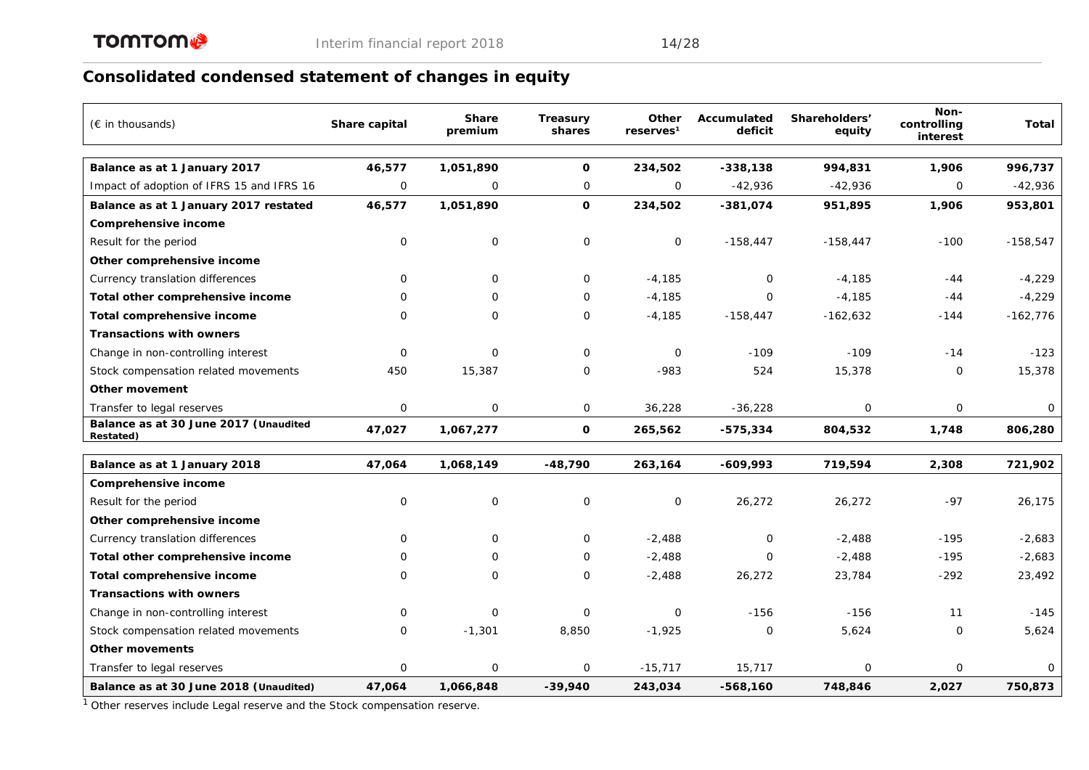# **Consolidated condensed statement of changes in equity**

| $(\epsilon$ in thousands)                                 | Share capital | <b>Share</b><br>premium | <b>Treasury</b><br>shares | Other<br>reserves <sup>1</sup> | Accumulated<br>deficit | Shareholders'<br>equity | Non-<br>controlling<br>interest | Total      |
|-----------------------------------------------------------|---------------|-------------------------|---------------------------|--------------------------------|------------------------|-------------------------|---------------------------------|------------|
| Balance as at 1 January 2017                              | 46,577        | 1,051,890               | $\mathbf{o}$              | 234,502                        | $-338,138$             | 994,831                 | 1,906                           | 996,737    |
| Impact of adoption of IFRS 15 and IFRS 16                 | 0             | $\mathbf{O}$            | $\mathbf 0$               | $\mathbf 0$                    | $-42,936$              | $-42,936$               | 0                               | $-42,936$  |
| Balance as at 1 January 2017 restated                     | 46,577        | 1,051,890               | $\mathbf 0$               | 234,502                        | $-381,074$             | 951,895                 | 1,906                           | 953,801    |
| Comprehensive income                                      |               |                         |                           |                                |                        |                         |                                 |            |
| Result for the period                                     | $\mathbf 0$   | $\mathbf 0$             | $\mathbf 0$               | 0                              | $-158,447$             | $-158,447$              | $-100$                          | $-158,547$ |
| Other comprehensive income                                |               |                         |                           |                                |                        |                         |                                 |            |
| Currency translation differences                          | 0             | $\Omega$                | $\mathbf 0$               | $-4,185$                       | $\Omega$               | $-4,185$                | $-44$                           | $-4,229$   |
| Total other comprehensive income                          | $\Omega$      | $\Omega$                | $\Omega$                  | $-4,185$                       | $\Omega$               | $-4,185$                | $-44$                           | $-4,229$   |
| Total comprehensive income                                | 0             | $\Omega$                | $\mathbf 0$               | $-4,185$                       | $-158,447$             | $-162,632$              | $-144$                          | $-162,776$ |
| <b>Transactions with owners</b>                           |               |                         |                           |                                |                        |                         |                                 |            |
| Change in non-controlling interest                        | $\Omega$      | $\Omega$                | $\Omega$                  | $\Omega$                       | $-109$                 | $-109$                  | $-14$                           | $-123$     |
| Stock compensation related movements                      | 450           | 15,387                  | $\mathbf 0$               | $-983$                         | 524                    | 15,378                  | 0                               | 15,378     |
| Other movement                                            |               |                         |                           |                                |                        |                         |                                 |            |
| Transfer to legal reserves                                | 0             | $\mathbf 0$             | $\mathsf{O}$              | 36,228                         | $-36,228$              | 0                       | 0                               | 0          |
| Balance as at 30 June 2017 (Unaudited<br><b>Restated)</b> | 47,027        | 1,067,277               | $\mathbf{o}$              | 265,562                        | $-575,334$             | 804,532                 | 1,748                           | 806,280    |
| Balance as at 1 January 2018                              | 47,064        | 1,068,149               | $-48,790$                 | 263,164                        | $-609,993$             | 719,594                 | 2,308                           | 721,902    |
| Comprehensive income                                      |               |                         |                           |                                |                        |                         |                                 |            |
| Result for the period                                     | $\mathbf 0$   | $\mathbf 0$             | $\mathbf 0$               | 0                              | 26,272                 | 26,272                  | $-97$                           | 26,175     |
| Other comprehensive income                                |               |                         |                           |                                |                        |                         |                                 |            |
| Currency translation differences                          | $\mathbf 0$   | $\Omega$                | $\mathbf 0$               | $-2,488$                       | $\mathbf 0$            | $-2,488$                | $-195$                          | $-2,683$   |
| Total other comprehensive income                          | 0             | $\Omega$                | $\mathbf 0$               | $-2,488$                       | $\Omega$               | $-2,488$                | $-195$                          | $-2,683$   |
| Total comprehensive income                                | 0             | $\Omega$                | $\mathbf 0$               | $-2,488$                       | 26,272                 | 23,784                  | $-292$                          | 23,492     |
| <b>Transactions with owners</b>                           |               |                         |                           |                                |                        |                         |                                 |            |
| Change in non-controlling interest                        | 0             | $\mathbf 0$             | $\mathbf 0$               | 0                              | $-156$                 | $-156$                  | 11                              | $-145$     |
| Stock compensation related movements                      | 0             | $-1,301$                | 8,850                     | $-1,925$                       | $\mathbf{O}$           | 5,624                   | $\mathbf{O}$                    | 5,624      |
| Other movements                                           |               |                         |                           |                                |                        |                         |                                 |            |
| Transfer to legal reserves                                | 0             | $\mathbf 0$             | 0                         | $-15,717$                      | 15,717                 | 0                       | 0                               | $\Omega$   |
| Balance as at 30 June 2018 (Unaudited)                    | 47,064        | 1,066,848               | $-39,940$                 | 243,034                        | $-568,160$             | 748,846                 | 2,027                           | 750,873    |

1 Other reserves include Legal reserve and the Stock compensation reserve.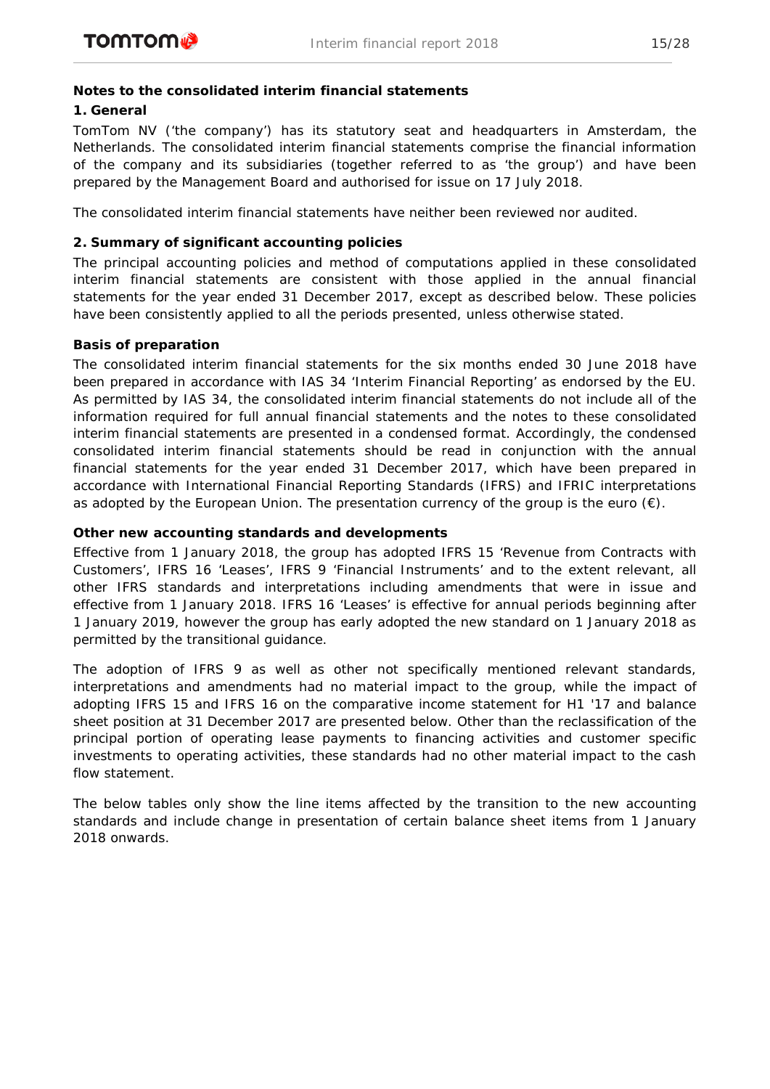## **Notes to the consolidated interim financial statements**

# **1. General**

TomTom NV ('the company') has its statutory seat and headquarters in Amsterdam, the Netherlands. The consolidated interim financial statements comprise the financial information of the company and its subsidiaries (together referred to as 'the group') and have been prepared by the Management Board and authorised for issue on 17 July 2018.

The consolidated interim financial statements have neither been reviewed nor audited.

# **2. Summary of significant accounting policies**

The principal accounting policies and method of computations applied in these consolidated interim financial statements are consistent with those applied in the annual financial statements for the year ended 31 December 2017, except as described below. These policies have been consistently applied to all the periods presented, unless otherwise stated.

# *Basis of preparation*

The consolidated interim financial statements for the six months ended 30 June 2018 have been prepared in accordance with IAS 34 'Interim Financial Reporting' as endorsed by the EU. As permitted by IAS 34, the consolidated interim financial statements do not include all of the information required for full annual financial statements and the notes to these consolidated interim financial statements are presented in a condensed format. Accordingly, the condensed consolidated interim financial statements should be read in conjunction with the annual financial statements for the year ended 31 December 2017, which have been prepared in accordance with International Financial Reporting Standards (IFRS) and IFRIC interpretations as adopted by the European Union. The presentation currency of the group is the euro  $(\epsilon)$ .

# *Other new accounting standards and developments*

Effective from 1 January 2018, the group has adopted IFRS 15 'Revenue from Contracts with Customers', IFRS 16 'Leases', IFRS 9 'Financial Instruments' and to the extent relevant, all other IFRS standards and interpretations including amendments that were in issue and effective from 1 January 2018. IFRS 16 'Leases' is effective for annual periods beginning after 1 January 2019, however the group has early adopted the new standard on 1 January 2018 as permitted by the transitional guidance.

The adoption of IFRS 9 as well as other not specifically mentioned relevant standards, interpretations and amendments had no material impact to the group, while the impact of adopting IFRS 15 and IFRS 16 on the comparative income statement for H1 '17 and balance sheet position at 31 December 2017 are presented below. Other than the reclassification of the principal portion of operating lease payments to financing activities and customer specific investments to operating activities, these standards had no other material impact to the cash flow statement.

The below tables only show the line items affected by the transition to the new accounting standards and include change in presentation of certain balance sheet items from 1 January 2018 onwards.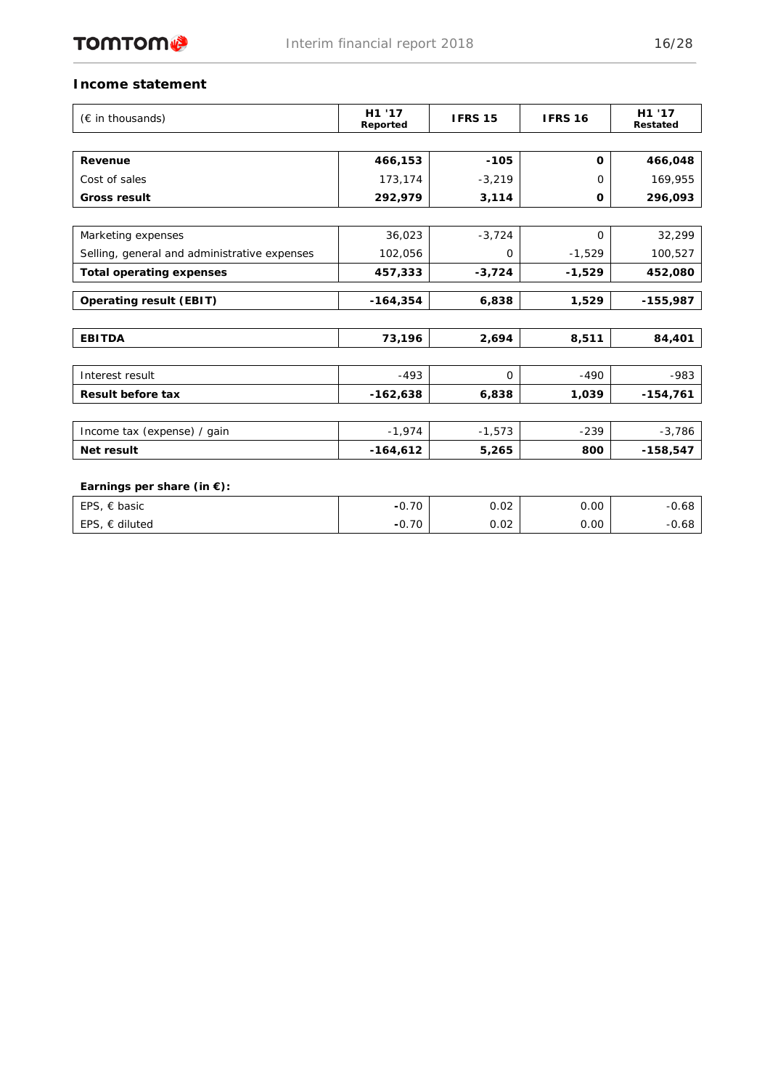

## **Income statement**

| $(\epsilon$ in thousands)                    | H1 '17<br>Reported | <b>IFRS 15</b> | <b>IFRS 16</b> | H1 '17<br>Restated |
|----------------------------------------------|--------------------|----------------|----------------|--------------------|
|                                              |                    |                |                |                    |
| Revenue                                      | 466,153            | $-105$         | $\Omega$       | 466,048            |
| Cost of sales                                | 173,174            | $-3,219$       | $\Omega$       | 169,955            |
| <b>Gross result</b>                          | 292,979            | 3,114          | 0              | 296,093            |
|                                              |                    |                |                |                    |
| Marketing expenses                           | 36,023             | $-3,724$       | $\Omega$       | 32,299             |
| Selling, general and administrative expenses | 102,056            | $\Omega$       | $-1,529$       | 100,527            |
| <b>Total operating expenses</b>              | 457,333            | $-3,724$       | $-1,529$       | 452,080            |
| <b>Operating result (EBIT)</b>               | $-164,354$         | 6,838          | 1,529          | $-155,987$         |
|                                              |                    |                |                |                    |
| <b>EBITDA</b>                                | 73,196             | 2,694          | 8,511          | 84,401             |
|                                              |                    |                |                |                    |
| Interest result                              | $-493$             | $\Omega$       | $-490$         | $-983$             |
| <b>Result before tax</b>                     | $-162,638$         | 6,838          | 1,039          | $-154,761$         |
|                                              |                    |                |                |                    |
| Income tax (expense) / gain                  | $-1,974$           | $-1,573$       | $-239$         | $-3,786$           |
| Net result                                   | $-164,612$         | 5,265          | 800            | $-158,547$         |
|                                              |                    |                |                |                    |
| Earnings per share (in $\xi$ ):              |                    |                |                |                    |
| EPS, $\in$ basic                             | $-0.70$            | 0.02           | 0.00           | $-0.68$            |
| EPS, $\epsilon$ diluted                      | $-0.70$            | 0.02           | 0.00           | $-0.68$            |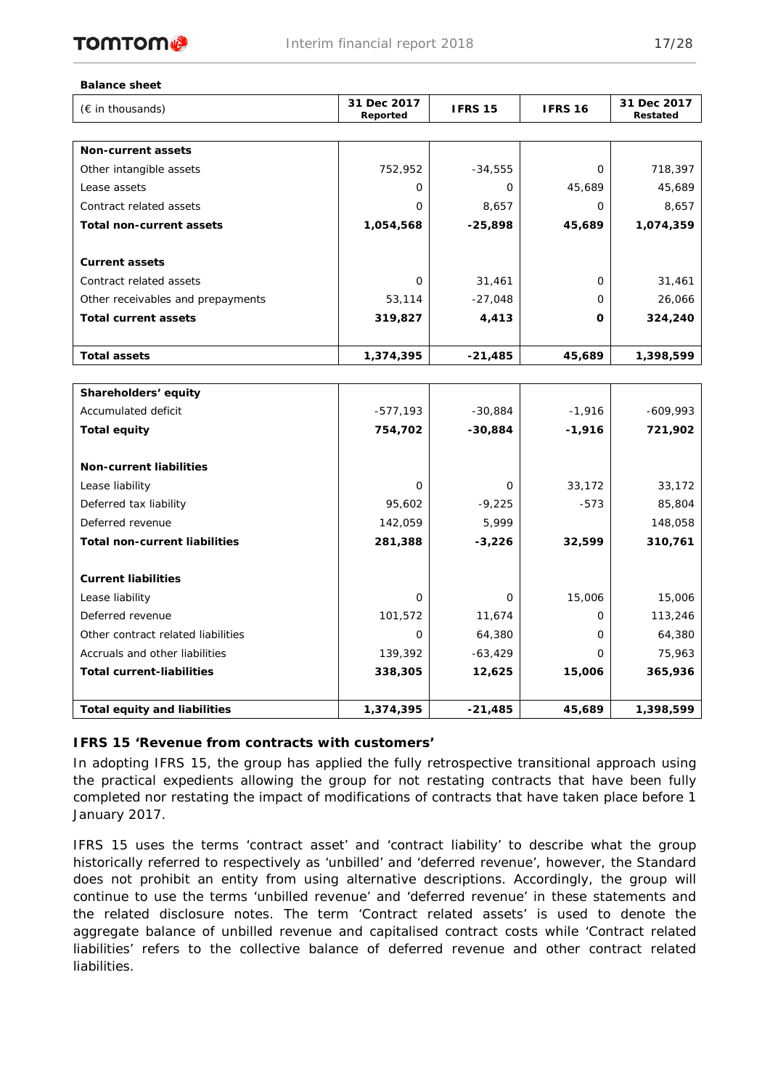

#### **Balance sheet**

| (€ in thousands)                     | 31 Dec 2017<br>Reported | <b>IFRS 15</b> | <b>IFRS 16</b> | 31 Dec 2017<br>Restated |
|--------------------------------------|-------------------------|----------------|----------------|-------------------------|
|                                      |                         |                |                |                         |
| <b>Non-current assets</b>            |                         |                |                |                         |
| Other intangible assets              | 752,952                 | $-34,555$      | 0              | 718,397                 |
| Lease assets                         | O                       | 0              | 45,689         | 45,689                  |
| Contract related assets              | O                       | 8,657          | $\Omega$       | 8,657                   |
| Total non-current assets             | 1,054,568               | $-25,898$      | 45,689         | 1,074,359               |
| <b>Current assets</b>                |                         |                |                |                         |
| Contract related assets              | O                       | 31,461         | $\Omega$       | 31,461                  |
| Other receivables and prepayments    | 53,114                  | $-27,048$      | $\Omega$       | 26,066                  |
| <b>Total current assets</b>          | 319,827                 | 4,413          | 0              | 324,240                 |
|                                      |                         |                |                |                         |
| <b>Total assets</b>                  | 1,374,395               | -21,485        | 45,689         | 1,398,599               |
|                                      |                         |                |                |                         |
| Shareholders' equity                 |                         |                |                |                         |
| Accumulated deficit                  | $-577,193$              | $-30,884$      | $-1,916$       | $-609,993$              |
| <b>Total equity</b>                  | 754,702                 | $-30,884$      | $-1,916$       | 721,902                 |
| <b>Non-current liabilities</b>       |                         |                |                |                         |
| Lease liability                      | $\Omega$                | $\Omega$       | 33,172         | 33,172                  |
| Deferred tax liability               | 95,602                  | $-9,225$       | $-573$         | 85,804                  |
| Deferred revenue                     | 142,059                 | 5,999          |                | 148,058                 |
| <b>Total non-current liabilities</b> | 281,388                 | $-3,226$       | 32,599         | 310,761                 |
| <b>Current liabilities</b>           |                         |                |                |                         |
| Lease liability                      | 0                       | 0              | 15,006         | 15,006                  |
| Deferred revenue                     | 101,572                 | 11,674         | 0              | 113,246                 |
| Other contract related liabilities   | O                       | 64,380         | $\Omega$       | 64,380                  |
| Accruals and other liabilities       | 139,392                 | $-63,429$      | 0              | 75,963                  |
| <b>Total current-liabilities</b>     | 338,305                 | 12,625         | 15,006         | 365,936                 |
|                                      |                         |                |                |                         |
| <b>Total equity and liabilities</b>  | 1,374,395               | $-21,485$      | 45,689         | 1,398,599               |

## **IFRS 15 'Revenue from contracts with customers'**

In adopting IFRS 15, the group has applied the fully retrospective transitional approach using the practical expedients allowing the group for not restating contracts that have been fully completed nor restating the impact of modifications of contracts that have taken place before 1 January 2017.

IFRS 15 uses the terms 'contract asset' and 'contract liability' to describe what the group historically referred to respectively as 'unbilled' and 'deferred revenue', however, the Standard does not prohibit an entity from using alternative descriptions. Accordingly, the group will continue to use the terms 'unbilled revenue' and 'deferred revenue' in these statements and the related disclosure notes. The term 'Contract related assets' is used to denote the aggregate balance of unbilled revenue and capitalised contract costs while 'Contract related liabilities' refers to the collective balance of deferred revenue and other contract related liabilities.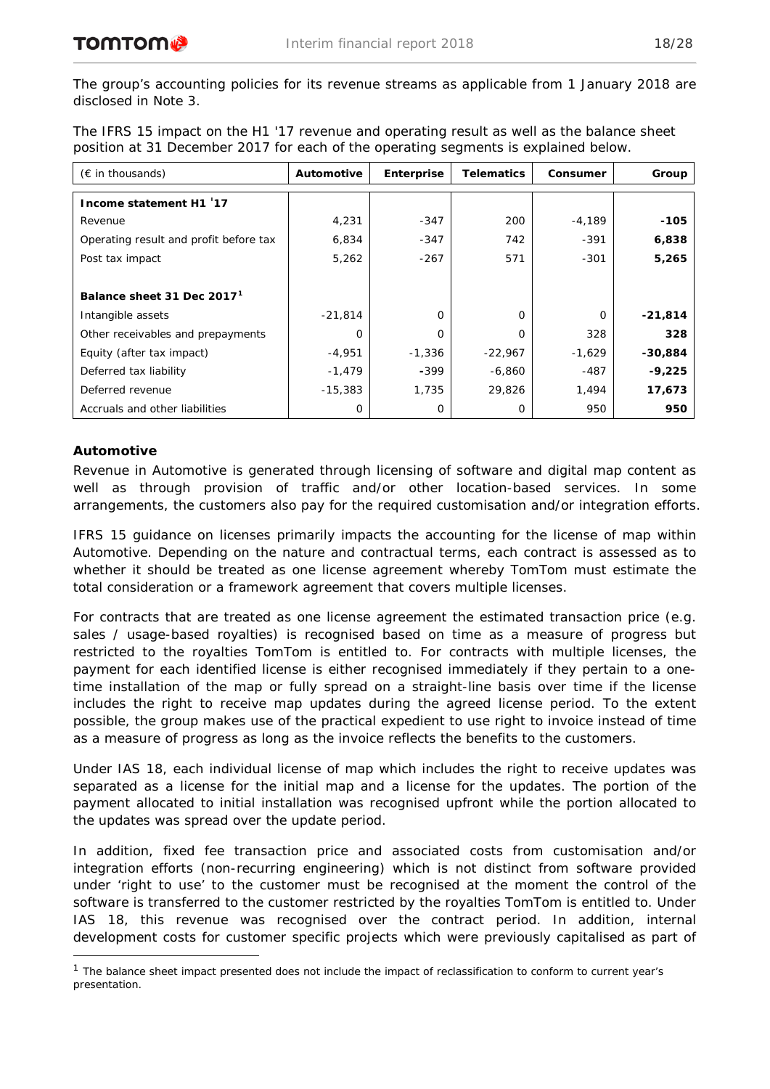The group's accounting policies for its revenue streams as applicable from 1 January 2018 are disclosed in Note 3.

The IFRS 15 impact on the H1 '17 revenue and operating result as well as the balance sheet position at 31 December 2017 for each of the operating segments is explained below.

| $(\epsilon$ in thousands)              | Automotive | <b>Enterprise</b> | <b>Telematics</b> | Consumer | Group     |
|----------------------------------------|------------|-------------------|-------------------|----------|-----------|
| Income statement H1 '17                |            |                   |                   |          |           |
| Revenue                                | 4,231      | $-347$            | 200               | $-4,189$ | $-105$    |
| Operating result and profit before tax | 6,834      | $-347$            | 742               | $-391$   | 6,838     |
| Post tax impact                        | 5,262      | -267              | 571               | $-301$   | 5,265     |
|                                        |            |                   |                   |          |           |
| Balance sheet 31 Dec 2017 <sup>1</sup> |            |                   |                   |          |           |
| Intangible assets                      | $-21,814$  | 0                 | $\Omega$          | O        | $-21,814$ |
| Other receivables and prepayments      | $\Omega$   | 0                 | $\Omega$          | 328      | 328       |
| Equity (after tax impact)              | $-4,951$   | $-1,336$          | $-22,967$         | $-1,629$ | $-30,884$ |
| Deferred tax liability                 | $-1,479$   | $-399$            | $-6,860$          | -487     | $-9,225$  |
| Deferred revenue                       | $-15,383$  | 1,735             | 29,826            | 1,494    | 17,673    |
| Accruals and other liabilities         | 0          | 0                 | $\Omega$          | 950      | 950       |

# **Automotive**

Revenue in Automotive is generated through licensing of software and digital map content as well as through provision of traffic and/or other location-based services. In some arrangements, the customers also pay for the required customisation and/or integration efforts.

IFRS 15 guidance on licenses primarily impacts the accounting for the license of map within Automotive. Depending on the nature and contractual terms, each contract is assessed as to whether it should be treated as one license agreement whereby TomTom must estimate the total consideration or a framework agreement that covers multiple licenses.

For contracts that are treated as one license agreement the estimated transaction price (e.g. sales / usage-based royalties) is recognised based on time as a measure of progress but restricted to the royalties TomTom is entitled to. For contracts with multiple licenses, the payment for each identified license is either recognised immediately if they pertain to a onetime installation of the map or fully spread on a straight-line basis over time if the license includes the right to receive map updates during the agreed license period. To the extent possible, the group makes use of the practical expedient to use right to invoice instead of time as a measure of progress as long as the invoice reflects the benefits to the customers.

Under IAS 18, each individual license of map which includes the right to receive updates was separated as a license for the initial map and a license for the updates. The portion of the payment allocated to initial installation was recognised upfront while the portion allocated to the updates was spread over the update period.

In addition, fixed fee transaction price and associated costs from customisation and/or integration efforts (non-recurring engineering) which is not distinct from software provided under 'right to use' to the customer must be recognised at the moment the control of the software is transferred to the customer restricted by the royalties TomTom is entitled to. Under IAS 18, this revenue was recognised over the contract period. In addition, internal development costs for customer specific projects which were previously capitalised as part of

<span id="page-17-0"></span><sup>&</sup>lt;sup>1</sup> The balance sheet impact presented does not include the impact of reclassification to conform to current year's presentation.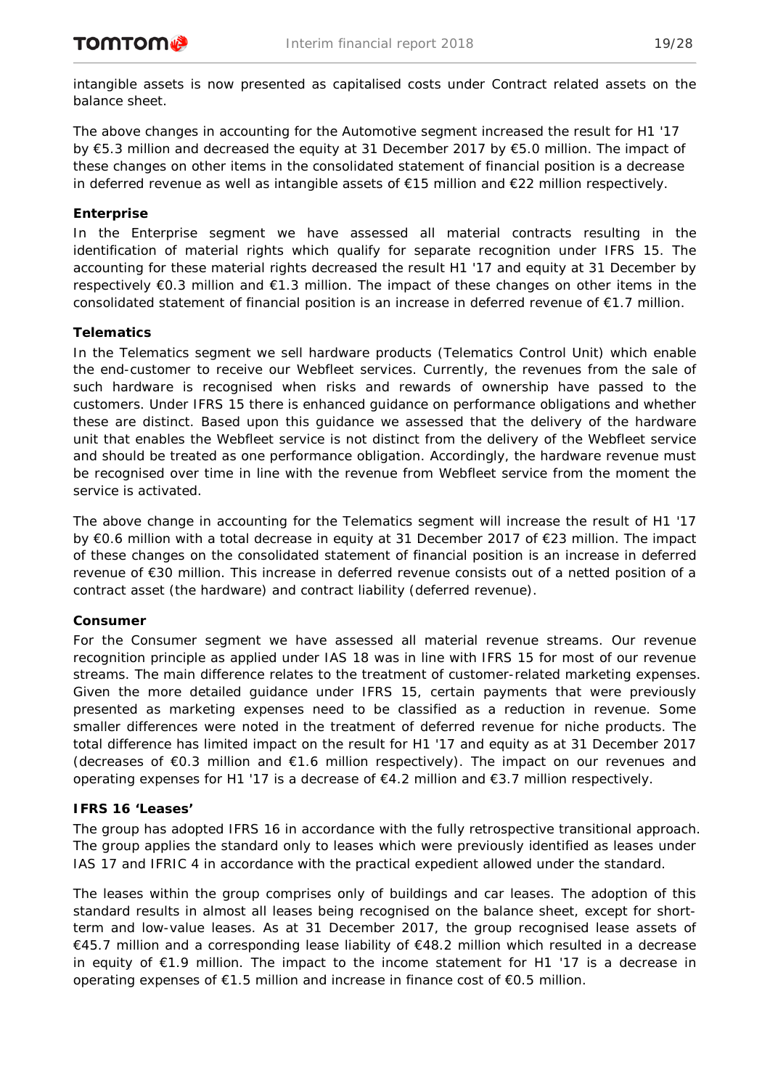intangible assets is now presented as capitalised costs under Contract related assets on the balance sheet.

The above changes in accounting for the Automotive segment increased the result for H1 '17 by €5.3 million and decreased the equity at 31 December 2017 by €5.0 million. The impact of these changes on other items in the consolidated statement of financial position is a decrease in deferred revenue as well as intangible assets of €15 million and €22 million respectively.

# **Enterprise**

In the Enterprise segment we have assessed all material contracts resulting in the identification of material rights which qualify for separate recognition under IFRS 15. The accounting for these material rights decreased the result H1 '17 and equity at 31 December by respectively €0.3 million and €1.3 million. The impact of these changes on other items in the consolidated statement of financial position is an increase in deferred revenue of €1.7 million.

## **Telematics**

In the Telematics segment we sell hardware products (Telematics Control Unit) which enable the end-customer to receive our Webfleet services. Currently, the revenues from the sale of such hardware is recognised when risks and rewards of ownership have passed to the customers. Under IFRS 15 there is enhanced guidance on performance obligations and whether these are distinct. Based upon this guidance we assessed that the delivery of the hardware unit that enables the Webfleet service is not distinct from the delivery of the Webfleet service and should be treated as one performance obligation. Accordingly, the hardware revenue must be recognised over time in line with the revenue from Webfleet service from the moment the service is activated.

The above change in accounting for the Telematics segment will increase the result of H1 '17 by €0.6 million with a total decrease in equity at 31 December 2017 of €23 million. The impact of these changes on the consolidated statement of financial position is an increase in deferred revenue of €30 million. This increase in deferred revenue consists out of a netted position of a contract asset (the hardware) and contract liability (deferred revenue).

## **Consumer**

For the Consumer segment we have assessed all material revenue streams. Our revenue recognition principle as applied under IAS 18 was in line with IFRS 15 for most of our revenue streams. The main difference relates to the treatment of customer-related marketing expenses. Given the more detailed guidance under IFRS 15, certain payments that were previously presented as marketing expenses need to be classified as a reduction in revenue. Some smaller differences were noted in the treatment of deferred revenue for niche products. The total difference has limited impact on the result for H1 '17 and equity as at 31 December 2017 (decreases of  $\epsilon$ 0.3 million and  $\epsilon$ 1.6 million respectively). The impact on our revenues and operating expenses for H1 '17 is a decrease of €4.2 million and €3.7 million respectively.

## **IFRS 16 'Leases'**

The group has adopted IFRS 16 in accordance with the fully retrospective transitional approach. The group applies the standard only to leases which were previously identified as leases under IAS 17 and IFRIC 4 in accordance with the practical expedient allowed under the standard.

The leases within the group comprises only of buildings and car leases. The adoption of this standard results in almost all leases being recognised on the balance sheet, except for shortterm and low-value leases. As at 31 December 2017, the group recognised lease assets of €45.7 million and a corresponding lease liability of €48.2 million which resulted in a decrease in equity of €1.9 million. The impact to the income statement for H1 '17 is a decrease in operating expenses of €1.5 million and increase in finance cost of €0.5 million.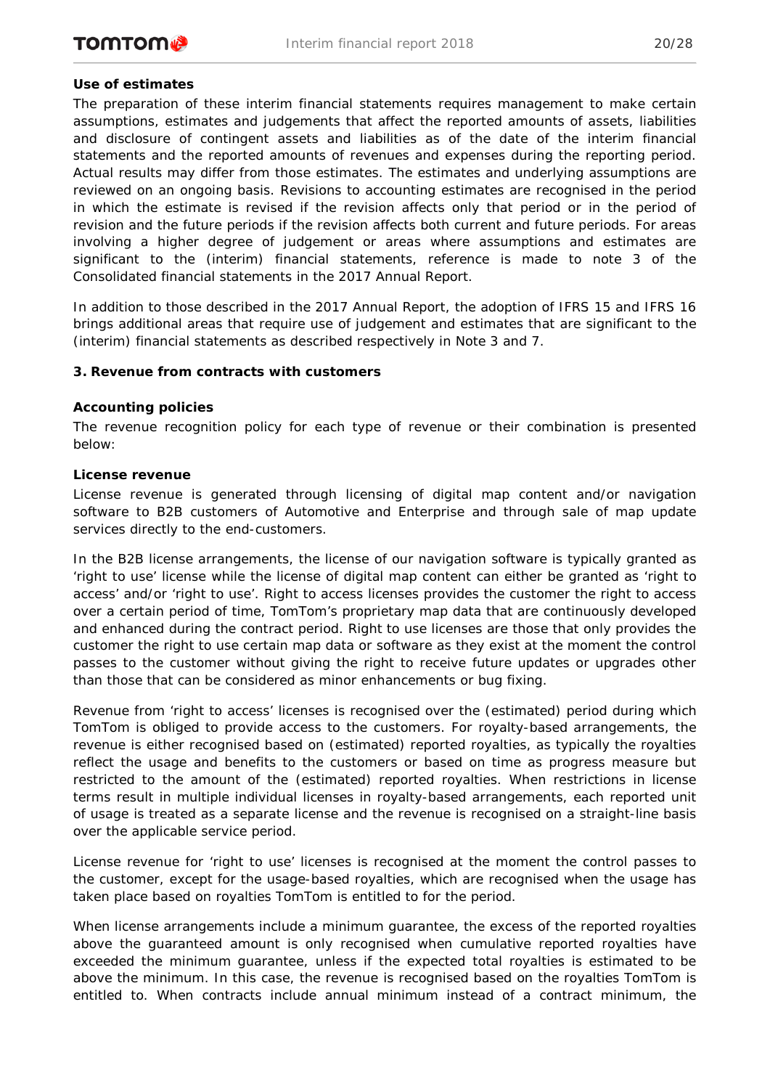# *Use of estimates*

The preparation of these interim financial statements requires management to make certain assumptions, estimates and judgements that affect the reported amounts of assets, liabilities and disclosure of contingent assets and liabilities as of the date of the interim financial statements and the reported amounts of revenues and expenses during the reporting period. Actual results may differ from those estimates. The estimates and underlying assumptions are reviewed on an ongoing basis. Revisions to accounting estimates are recognised in the period in which the estimate is revised if the revision affects only that period or in the period of revision and the future periods if the revision affects both current and future periods. For areas involving a higher degree of judgement or areas where assumptions and estimates are significant to the (interim) financial statements, reference is made to note 3 of the Consolidated financial statements in the 2017 Annual Report.

In addition to those described in the 2017 Annual Report, the adoption of IFRS 15 and IFRS 16 brings additional areas that require use of judgement and estimates that are significant to the (interim) financial statements as described respectively in Note 3 and 7.

## **3. Revenue from contracts with customers**

## *Accounting policies*

The revenue recognition policy for each type of revenue or their combination is presented below:

## *License revenue*

License revenue is generated through licensing of digital map content and/or navigation software to B2B customers of Automotive and Enterprise and through sale of map update services directly to the end-customers.

In the B2B license arrangements, the license of our navigation software is typically granted as 'right to use' license while the license of digital map content can either be granted as 'right to access' and/or 'right to use'. Right to access licenses provides the customer the right to access over a certain period of time, TomTom's proprietary map data that are continuously developed and enhanced during the contract period. Right to use licenses are those that only provides the customer the right to use certain map data or software as they exist at the moment the control passes to the customer without giving the right to receive future updates or upgrades other than those that can be considered as minor enhancements or bug fixing.

Revenue from 'right to access' licenses is recognised over the (estimated) period during which TomTom is obliged to provide access to the customers. For royalty-based arrangements, the revenue is either recognised based on (estimated) reported royalties, as typically the royalties reflect the usage and benefits to the customers or based on time as progress measure but restricted to the amount of the (estimated) reported royalties. When restrictions in license terms result in multiple individual licenses in royalty-based arrangements, each reported unit of usage is treated as a separate license and the revenue is recognised on a straight-line basis over the applicable service period.

License revenue for 'right to use' licenses is recognised at the moment the control passes to the customer, except for the usage-based royalties, which are recognised when the usage has taken place based on royalties TomTom is entitled to for the period.

When license arrangements include a minimum guarantee, the excess of the reported royalties above the guaranteed amount is only recognised when cumulative reported royalties have exceeded the minimum guarantee, unless if the expected total royalties is estimated to be above the minimum. In this case, the revenue is recognised based on the royalties TomTom is entitled to. When contracts include annual minimum instead of a contract minimum, the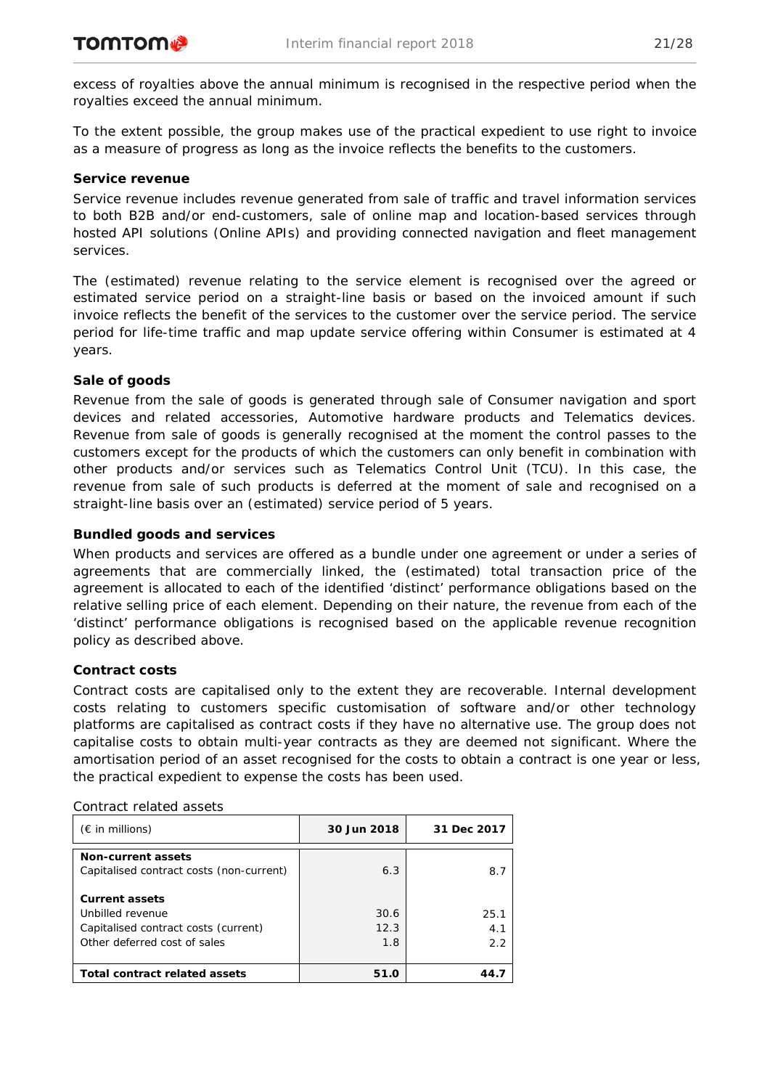excess of royalties above the annual minimum is recognised in the respective period when the royalties exceed the annual minimum.

To the extent possible, the group makes use of the practical expedient to use right to invoice as a measure of progress as long as the invoice reflects the benefits to the customers.

### *Service revenue*

Service revenue includes revenue generated from sale of traffic and travel information services to both B2B and/or end-customers, sale of online map and location-based services through hosted API solutions (Online APIs) and providing connected navigation and fleet management services.

The (estimated) revenue relating to the service element is recognised over the agreed or estimated service period on a straight-line basis or based on the invoiced amount if such invoice reflects the benefit of the services to the customer over the service period. The service period for life-time traffic and map update service offering within Consumer is estimated at 4 years.

## *Sale of goods*

Revenue from the sale of goods is generated through sale of Consumer navigation and sport devices and related accessories, Automotive hardware products and Telematics devices. Revenue from sale of goods is generally recognised at the moment the control passes to the customers except for the products of which the customers can only benefit in combination with other products and/or services such as Telematics Control Unit (TCU). In this case, the revenue from sale of such products is deferred at the moment of sale and recognised on a straight-line basis over an (estimated) service period of 5 years.

# *Bundled goods and services*

When products and services are offered as a bundle under one agreement or under a series of agreements that are commercially linked, the (estimated) total transaction price of the agreement is allocated to each of the identified 'distinct' performance obligations based on the relative selling price of each element. Depending on their nature, the revenue from each of the 'distinct' performance obligations is recognised based on the applicable revenue recognition policy as described above.

## *Contract costs*

Contract costs are capitalised only to the extent they are recoverable. Internal development costs relating to customers specific customisation of software and/or other technology platforms are capitalised as contract costs if they have no alternative use. The group does not capitalise costs to obtain multi-year contracts as they are deemed not significant. Where the amortisation period of an asset recognised for the costs to obtain a contract is one year or less, the practical expedient to expense the costs has been used.

| $(\epsilon$ in millions)                                                                                          | 30 Jun 2018         | 31 Dec 2017        |
|-------------------------------------------------------------------------------------------------------------------|---------------------|--------------------|
| Non-current assets<br>Capitalised contract costs (non-current)                                                    | 6.3                 | 8.7                |
| <b>Current assets</b><br>Unbilled revenue<br>Capitalised contract costs (current)<br>Other deferred cost of sales | 30.6<br>12.3<br>1.8 | 25.1<br>4.1<br>2.2 |
| <b>Total contract related assets</b>                                                                              | 51.0                | 44                 |

#### *Contract related assets*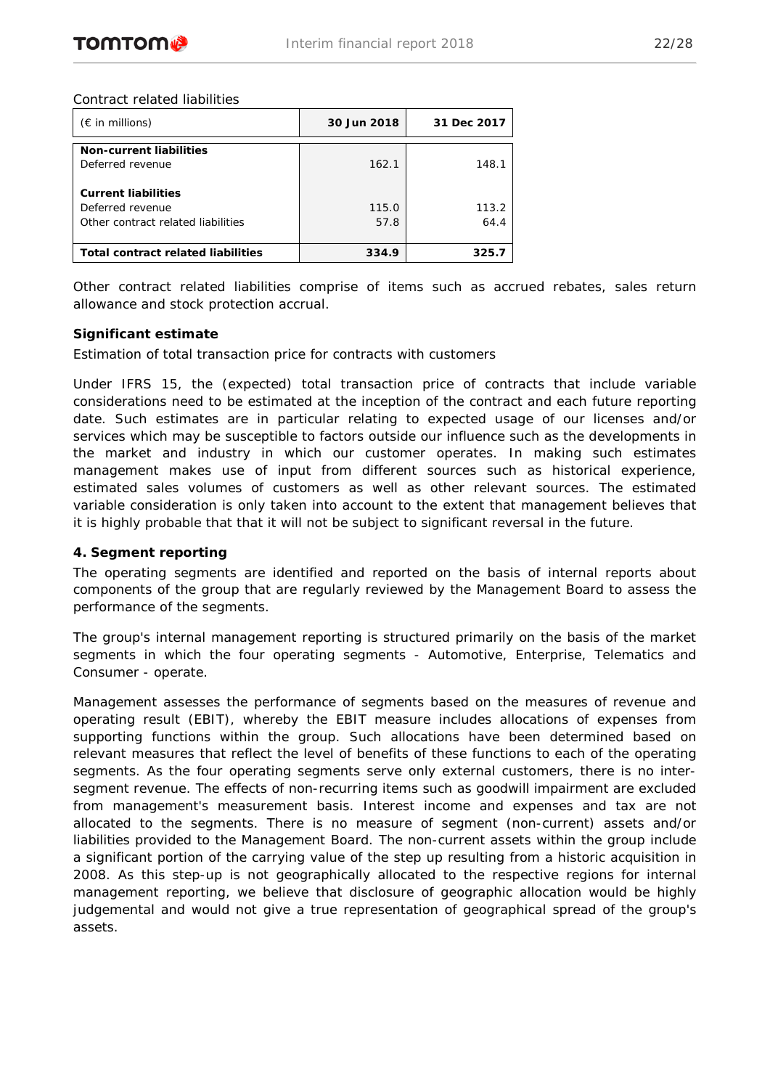

#### *Contract related liabilities*

| $(\epsilon$ in millions)                           | 30 Jun 2018 | 31 Dec 2017 |
|----------------------------------------------------|-------------|-------------|
| <b>Non-current liabilities</b><br>Deferred revenue | 162.1       | 148.1       |
| <b>Current liabilities</b>                         |             |             |
| Deferred revenue                                   | 115.0       | 113.2       |
| Other contract related liabilities                 | 57.8        | 64.4        |
| <b>Total contract related liabilities</b>          | 334.9       | 325.7       |

Other contract related liabilities comprise of items such as accrued rebates, sales return allowance and stock protection accrual.

### *Significant estimate*

*Estimation of total transaction price for contracts with customers*

Under IFRS 15, the (expected) total transaction price of contracts that include variable considerations need to be estimated at the inception of the contract and each future reporting date. Such estimates are in particular relating to expected usage of our licenses and/or services which may be susceptible to factors outside our influence such as the developments in the market and industry in which our customer operates. In making such estimates management makes use of input from different sources such as historical experience, estimated sales volumes of customers as well as other relevant sources. The estimated variable consideration is only taken into account to the extent that management believes that it is highly probable that that it will not be subject to significant reversal in the future.

## **4. Segment reporting**

The operating segments are identified and reported on the basis of internal reports about components of the group that are regularly reviewed by the Management Board to assess the performance of the segments.

The group's internal management reporting is structured primarily on the basis of the market segments in which the four operating segments - Automotive, Enterprise, Telematics and Consumer - operate.

Management assesses the performance of segments based on the measures of revenue and operating result (EBIT), whereby the EBIT measure includes allocations of expenses from supporting functions within the group. Such allocations have been determined based on relevant measures that reflect the level of benefits of these functions to each of the operating segments. As the four operating segments serve only external customers, there is no intersegment revenue. The effects of non-recurring items such as goodwill impairment are excluded from management's measurement basis. Interest income and expenses and tax are not allocated to the segments. There is no measure of segment (non-current) assets and/or liabilities provided to the Management Board. The non-current assets within the group include a significant portion of the carrying value of the step up resulting from a historic acquisition in 2008. As this step-up is not geographically allocated to the respective regions for internal management reporting, we believe that disclosure of geographic allocation would be highly judgemental and would not give a true representation of geographical spread of the group's assets.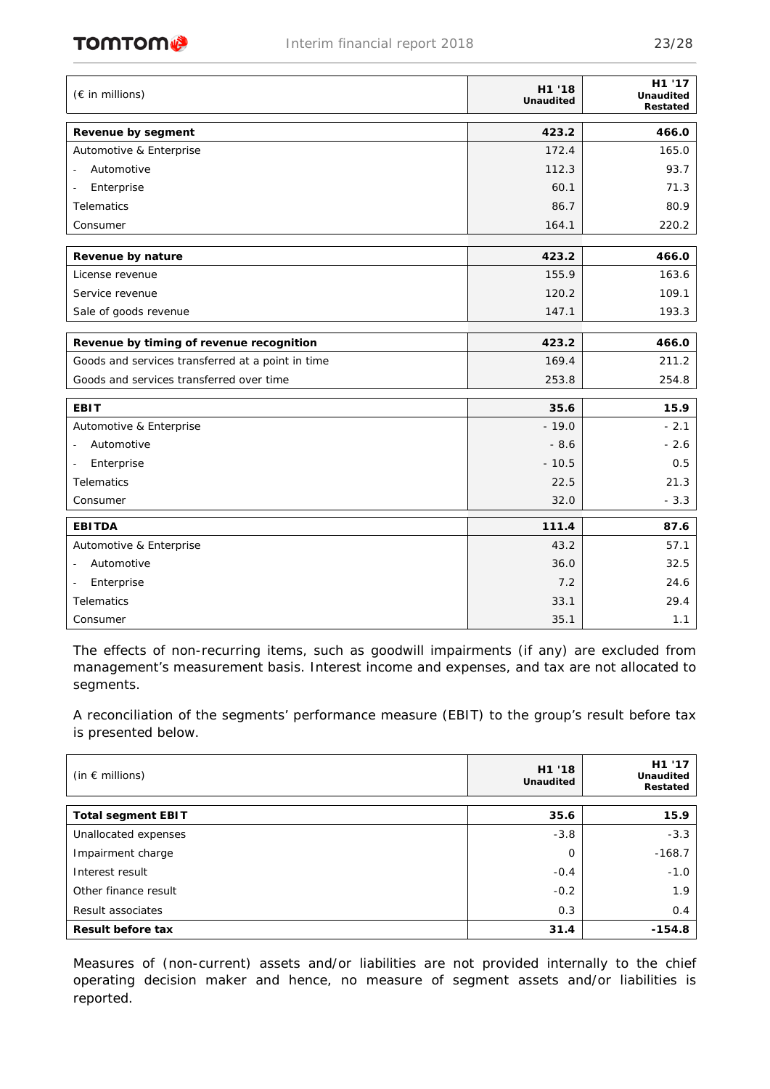# **TOMTOM**

| (€ in millions)                                   | H1 '18<br><b>Unaudited</b> | H1 '17<br><b>Unaudited</b><br>Restated |
|---------------------------------------------------|----------------------------|----------------------------------------|
| Revenue by segment                                | 423.2                      | 466.0                                  |
| Automotive & Enterprise                           | 172.4                      | 165.0                                  |
| Automotive                                        | 112.3                      | 93.7                                   |
| Enterprise                                        | 60.1                       | 71.3                                   |
| Telematics                                        | 86.7                       | 80.9                                   |
| Consumer                                          | 164.1                      | 220.2                                  |
| Revenue by nature                                 | 423.2                      | 466.0                                  |
| License revenue                                   | 155.9                      | 163.6                                  |
| Service revenue                                   | 120.2                      | 109.1                                  |
| Sale of goods revenue                             | 147.1                      | 193.3                                  |
| Revenue by timing of revenue recognition          | 423.2                      | 466.0                                  |
| Goods and services transferred at a point in time | 169.4                      | 211.2                                  |
| Goods and services transferred over time          | 253.8                      | 254.8                                  |
| <b>EBIT</b>                                       | 35.6                       | 15.9                                   |
| Automotive & Enterprise                           | $-19.0$                    | $-2.1$                                 |
| Automotive<br>$\overline{\phantom{a}}$            | $-8.6$                     | $-2.6$                                 |
| Enterprise<br>$\overline{\phantom{a}}$            | $-10.5$                    | 0.5                                    |
| Telematics                                        | 22.5                       | 21.3                                   |
| Consumer                                          | 32.0                       | $-3.3$                                 |
| <b>EBITDA</b>                                     | 111.4                      | 87.6                                   |
| Automotive & Enterprise                           | 43.2                       | 57.1                                   |
| Automotive<br>$\blacksquare$                      | 36.0                       | 32.5                                   |
| Enterprise                                        | 7.2                        | 24.6                                   |
| Telematics                                        | 33.1                       | 29.4                                   |
| Consumer                                          | 35.1                       | 1.1                                    |

The effects of non-recurring items, such as goodwill impairments (if any) are excluded from management's measurement basis. Interest income and expenses, and tax are not allocated to segments.

A reconciliation of the segments' performance measure (EBIT) to the group's result before tax is presented below.

| (in $\epsilon$ millions)  | H1 '18<br><b>Unaudited</b> | H1 '17<br><b>Unaudited</b><br>Restated |
|---------------------------|----------------------------|----------------------------------------|
| <b>Total segment EBIT</b> | 35.6                       | 15.9                                   |
| Unallocated expenses      | $-3.8$                     | $-3.3$                                 |
| Impairment charge         | $\Omega$                   | $-168.7$                               |
| Interest result           | $-0.4$                     | $-1.0$                                 |
| Other finance result      | $-0.2$                     | 1.9                                    |
| Result associates         | 0.3                        | 0.4                                    |
| <b>Result before tax</b>  | 31.4                       | $-154.8$                               |

Measures of (non-current) assets and/or liabilities are not provided internally to the chief operating decision maker and hence, no measure of segment assets and/or liabilities is reported.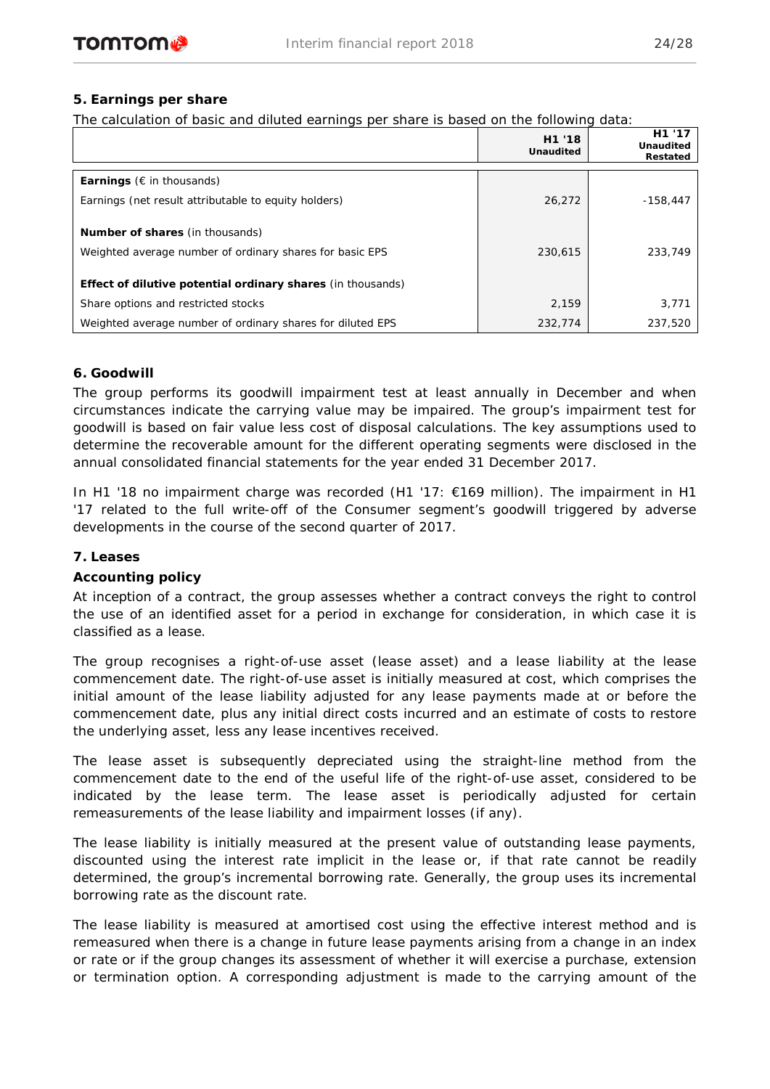# **5. Earnings per share**

The calculation of basic and diluted earnings per share is based on the following data:

|                                                             | H1 '18<br><b>Unaudited</b> | H1 '17<br><b>Unaudited</b><br>Restated |
|-------------------------------------------------------------|----------------------------|----------------------------------------|
| <b>Earnings</b> ( $\epsilon$ in thousands)                  |                            |                                        |
| Earnings (net result attributable to equity holders)        | 26,272                     | $-158.447$                             |
| <b>Number of shares (in thousands)</b>                      |                            |                                        |
| Weighted average number of ordinary shares for basic EPS    | 230,615                    | 233,749                                |
| Effect of dilutive potential ordinary shares (in thousands) |                            |                                        |
| Share options and restricted stocks                         | 2,159                      | 3,771                                  |
| Weighted average number of ordinary shares for diluted EPS  | 232,774                    | 237,520                                |

# **6. Goodwill**

The group performs its goodwill impairment test at least annually in December and when circumstances indicate the carrying value may be impaired. The group's impairment test for goodwill is based on fair value less cost of disposal calculations. The key assumptions used to determine the recoverable amount for the different operating segments were disclosed in the annual consolidated financial statements for the year ended 31 December 2017.

In H1 '18 no impairment charge was recorded (H1 '17: €169 million). The impairment in H1 '17 related to the full write-off of the Consumer segment's goodwill triggered by adverse developments in the course of the second quarter of 2017.

## **7. Leases**

## *Accounting policy*

At inception of a contract, the group assesses whether a contract conveys the right to control the use of an identified asset for a period in exchange for consideration, in which case it is classified as a lease.

The group recognises a right-of-use asset (lease asset) and a lease liability at the lease commencement date. The right-of-use asset is initially measured at cost, which comprises the initial amount of the lease liability adjusted for any lease payments made at or before the commencement date, plus any initial direct costs incurred and an estimate of costs to restore the underlying asset, less any lease incentives received.

The lease asset is subsequently depreciated using the straight-line method from the commencement date to the end of the useful life of the right-of-use asset, considered to be indicated by the lease term. The lease asset is periodically adjusted for certain remeasurements of the lease liability and impairment losses (if any).

The lease liability is initially measured at the present value of outstanding lease payments, discounted using the interest rate implicit in the lease or, if that rate cannot be readily determined, the group's incremental borrowing rate. Generally, the group uses its incremental borrowing rate as the discount rate.

The lease liability is measured at amortised cost using the effective interest method and is remeasured when there is a change in future lease payments arising from a change in an index or rate or if the group changes its assessment of whether it will exercise a purchase, extension or termination option. A corresponding adjustment is made to the carrying amount of the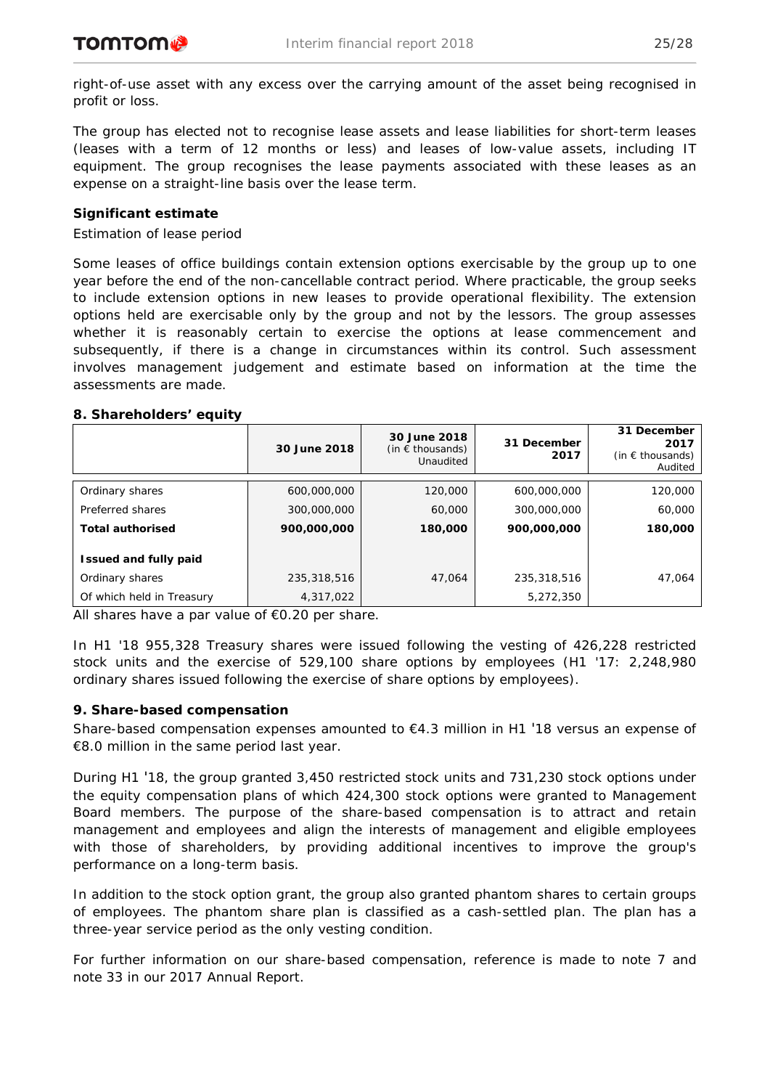right-of-use asset with any excess over the carrying amount of the asset being recognised in profit or loss.

The group has elected not to recognise lease assets and lease liabilities for short-term leases (leases with a term of 12 months or less) and leases of low-value assets, including IT equipment. The group recognises the lease payments associated with these leases as an expense on a straight-line basis over the lease term.

# *Significant estimate*

## *Estimation of lease period*

Some leases of office buildings contain extension options exercisable by the group up to one year before the end of the non-cancellable contract period. Where practicable, the group seeks to include extension options in new leases to provide operational flexibility. The extension options held are exercisable only by the group and not by the lessors. The group assesses whether it is reasonably certain to exercise the options at lease commencement and subsequently, if there is a change in circumstances within its control. Such assessment involves management judgement and estimate based on information at the time the assessments are made.

## **8. Shareholders' equity**

|                              | 30 June 2018 | 30 June 2018<br>(in $\epsilon$ thousands)<br>Unaudited | 31 December<br>2017 | 31 December<br>2017<br>(in $\epsilon$ thousands)<br>Audited |
|------------------------------|--------------|--------------------------------------------------------|---------------------|-------------------------------------------------------------|
| Ordinary shares              | 600,000,000  | 120,000                                                | 600,000,000         | 120,000                                                     |
| Preferred shares             | 300,000,000  | 60,000                                                 | 300,000,000         | 60,000                                                      |
| <b>Total authorised</b>      | 900,000,000  | 180,000                                                | 900,000,000         | 180,000                                                     |
| <b>Issued and fully paid</b> |              |                                                        |                     |                                                             |
| Ordinary shares              | 235,318,516  | 47.064                                                 | 235,318,516         | 47,064                                                      |
| Of which held in Treasury    | 4,317,022    |                                                        | 5,272,350           |                                                             |

All shares have a par value of  $\epsilon$ 0.20 per share.

In H1 '18 955,328 Treasury shares were issued following the vesting of 426,228 restricted stock units and the exercise of 529,100 share options by employees (H1 '17: 2,248,980 ordinary shares issued following the exercise of share options by employees).

## **9. Share-based compensation**

Share-based compensation expenses amounted to  $E$ 4.3 million in H1 '18 versus an expense of €8.0 million in the same period last year.

During H1 '18, the group granted 3,450 restricted stock units and 731,230 stock options under the equity compensation plans of which 424,300 stock options were granted to Management Board members. The purpose of the share-based compensation is to attract and retain management and employees and align the interests of management and eligible employees with those of shareholders, by providing additional incentives to improve the group's performance on a long-term basis.

In addition to the stock option grant, the group also granted phantom shares to certain groups of employees. The phantom share plan is classified as a cash-settled plan. The plan has a three-year service period as the only vesting condition.

For further information on our share-based compensation, reference is made to note 7 and note 33 in our 2017 Annual Report.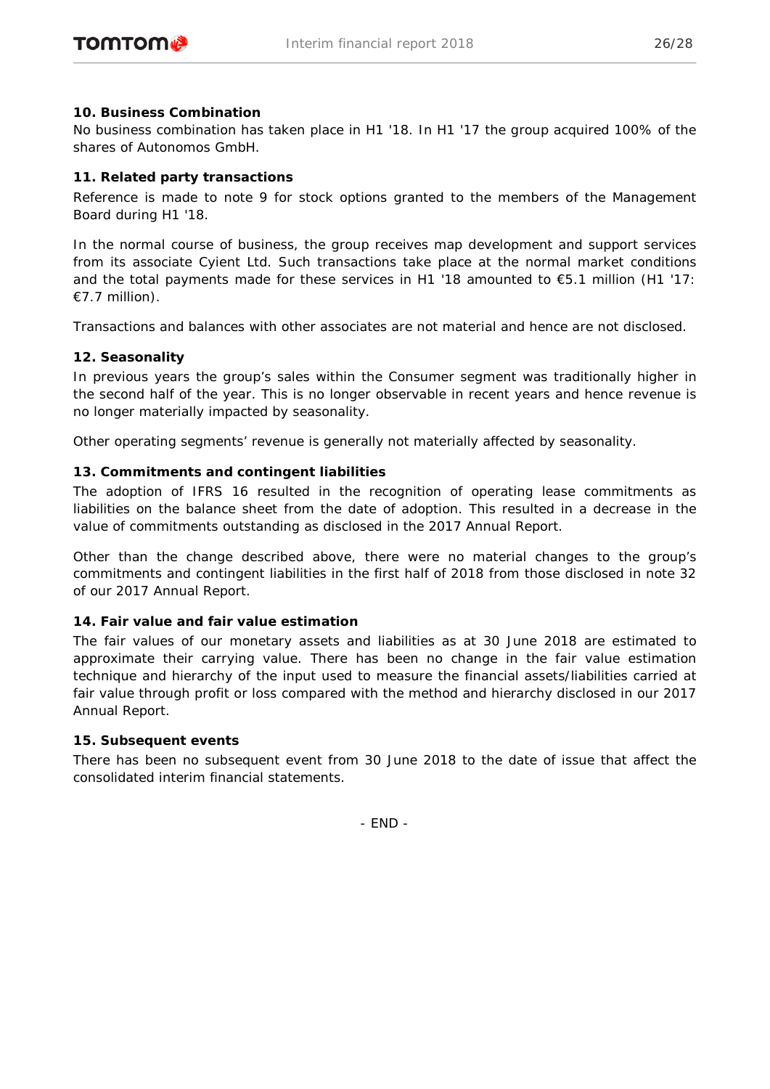# **10. Business Combination**

No business combination has taken place in H1 '18. In H1 '17 the group acquired 100% of the shares of Autonomos GmbH.

# **11. Related party transactions**

Reference is made to note 9 for stock options granted to the members of the Management Board during H1 '18.

In the normal course of business, the group receives map development and support services from its associate Cyient Ltd. Such transactions take place at the normal market conditions and the total payments made for these services in H1 '18 amounted to  $\epsilon$ 5.1 million (H1 '17: €7.7 million).

Transactions and balances with other associates are not material and hence are not disclosed.

# **12. Seasonality**

In previous years the group's sales within the Consumer segment was traditionally higher in the second half of the year. This is no longer observable in recent years and hence revenue is no longer materially impacted by seasonality.

Other operating segments' revenue is generally not materially affected by seasonality.

# **13. Commitments and contingent liabilities**

The adoption of IFRS 16 resulted in the recognition of operating lease commitments as liabilities on the balance sheet from the date of adoption. This resulted in a decrease in the value of commitments outstanding as disclosed in the 2017 Annual Report.

Other than the change described above, there were no material changes to the group's commitments and contingent liabilities in the first half of 2018 from those disclosed in note 32 of our 2017 Annual Report.

## **14. Fair value and fair value estimation**

The fair values of our monetary assets and liabilities as at 30 June 2018 are estimated to approximate their carrying value. There has been no change in the fair value estimation technique and hierarchy of the input used to measure the financial assets/liabilities carried at fair value through profit or loss compared with the method and hierarchy disclosed in our 2017 Annual Report.

## **15. Subsequent events**

There has been no subsequent event from 30 June 2018 to the date of issue that affect the consolidated interim financial statements.

- END -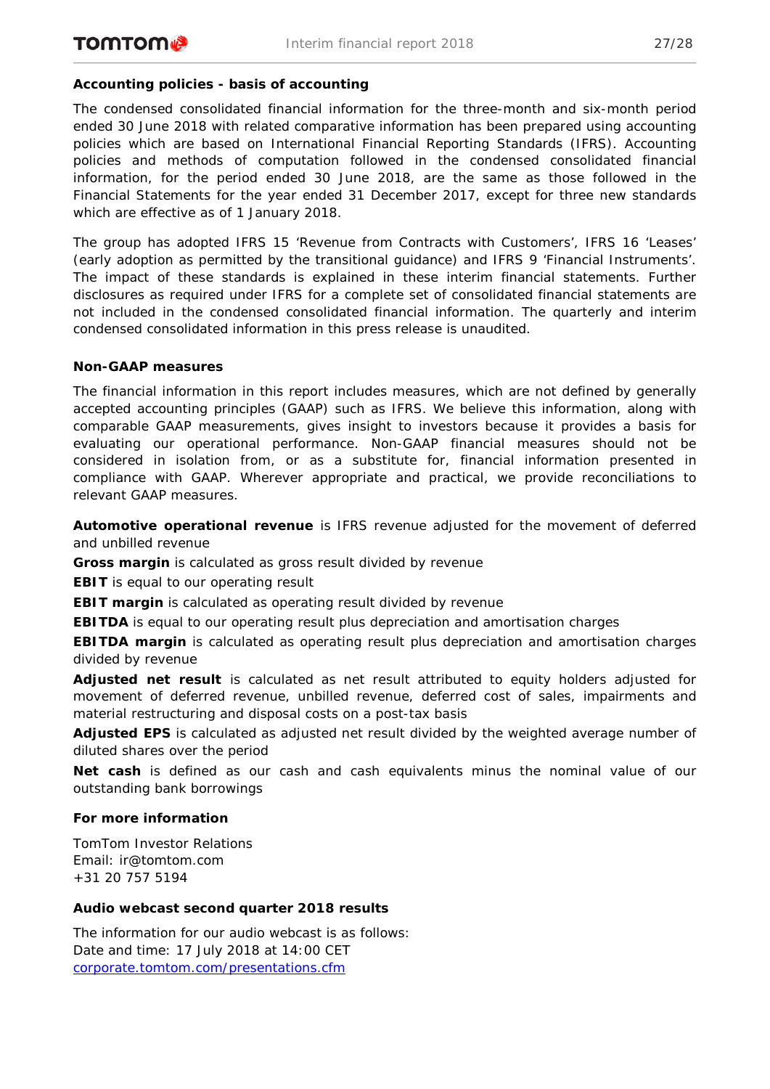# **Accounting policies - basis of accounting**

The condensed consolidated financial information for the three-month and six-month period ended 30 June 2018 with related comparative information has been prepared using accounting policies which are based on International Financial Reporting Standards (IFRS). Accounting policies and methods of computation followed in the condensed consolidated financial information, for the period ended 30 June 2018, are the same as those followed in the Financial Statements for the year ended 31 December 2017, except for three new standards which are effective as of 1 January 2018.

The group has adopted IFRS 15 'Revenue from Contracts with Customers', IFRS 16 'Leases' (early adoption as permitted by the transitional guidance) and IFRS 9 'Financial Instruments'. The impact of these standards is explained in these interim financial statements. Further disclosures as required under IFRS for a complete set of consolidated financial statements are not included in the condensed consolidated financial information. The quarterly and interim condensed consolidated information in this press release is unaudited.

## **Non-GAAP measures**

The financial information in this report includes measures, which are not defined by generally accepted accounting principles (GAAP) such as IFRS. We believe this information, along with comparable GAAP measurements, gives insight to investors because it provides a basis for evaluating our operational performance. Non-GAAP financial measures should not be considered in isolation from, or as a substitute for, financial information presented in compliance with GAAP. Wherever appropriate and practical, we provide reconciliations to relevant GAAP measures.

**Automotive operational revenue** is IFRS revenue adjusted for the movement of deferred and unbilled revenue

**Gross margin** is calculated as gross result divided by revenue

**EBIT** is equal to our operating result

**EBIT margin** is calculated as operating result divided by revenue

**EBITDA** is equal to our operating result plus depreciation and amortisation charges

**EBITDA margin** is calculated as operating result plus depreciation and amortisation charges divided by revenue

**Adjusted net result** is calculated as net result attributed to equity holders adjusted for movement of deferred revenue, unbilled revenue, deferred cost of sales, impairments and material restructuring and disposal costs on a post-tax basis

**Adjusted EPS** is calculated as adjusted net result divided by the weighted average number of diluted shares over the period

**Net cash** is defined as our cash and cash equivalents minus the nominal value of our outstanding bank borrowings

## **For more information**

TomTom Investor Relations Email: ir@tomtom.com +31 20 757 5194

## **Audio webcast second quarter 2018 results**

The information for our audio webcast is as follows: Date and time: 17 July 2018 at 14:00 CET [corporate.tomtom.com/presentations.cfm](http://corporate.tomtom.com/presentations.cfm)